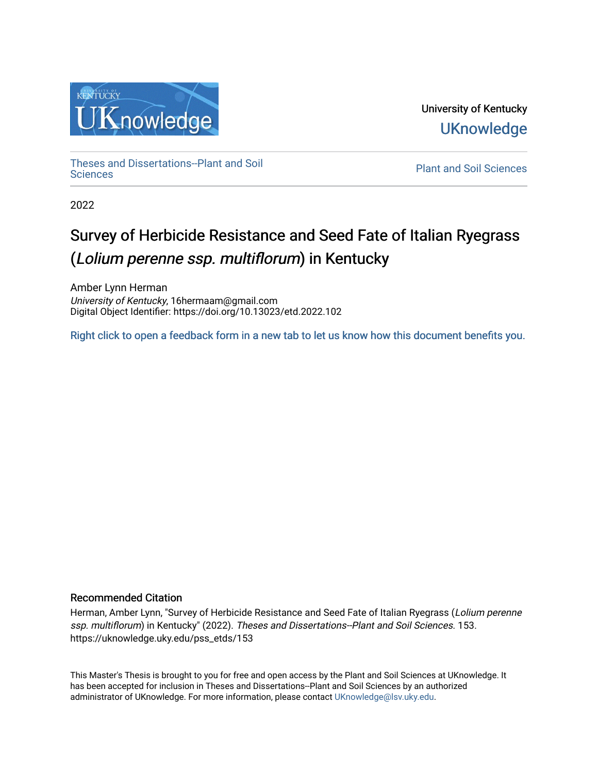

University of Kentucky **UKnowledge** 

[Theses and Dissertations--Plant and Soil](https://uknowledge.uky.edu/pss_etds)

**Plant and Soil [Sciences](https://uknowledge.uky.edu/pss_etds)** 

2022

# Survey of Herbicide Resistance and Seed Fate of Italian Ryegrass (Lolium perenne ssp. multiflorum) in Kentucky

Amber Lynn Herman University of Kentucky, 16hermaam@gmail.com Digital Object Identifier: https://doi.org/10.13023/etd.2022.102

[Right click to open a feedback form in a new tab to let us know how this document benefits you.](https://uky.az1.qualtrics.com/jfe/form/SV_9mq8fx2GnONRfz7)

### Recommended Citation

Herman, Amber Lynn, "Survey of Herbicide Resistance and Seed Fate of Italian Ryegrass (Lolium perenne ssp. multiflorum) in Kentucky" (2022). Theses and Dissertations--Plant and Soil Sciences. 153. https://uknowledge.uky.edu/pss\_etds/153

This Master's Thesis is brought to you for free and open access by the Plant and Soil Sciences at UKnowledge. It has been accepted for inclusion in Theses and Dissertations--Plant and Soil Sciences by an authorized administrator of UKnowledge. For more information, please contact [UKnowledge@lsv.uky.edu](mailto:UKnowledge@lsv.uky.edu).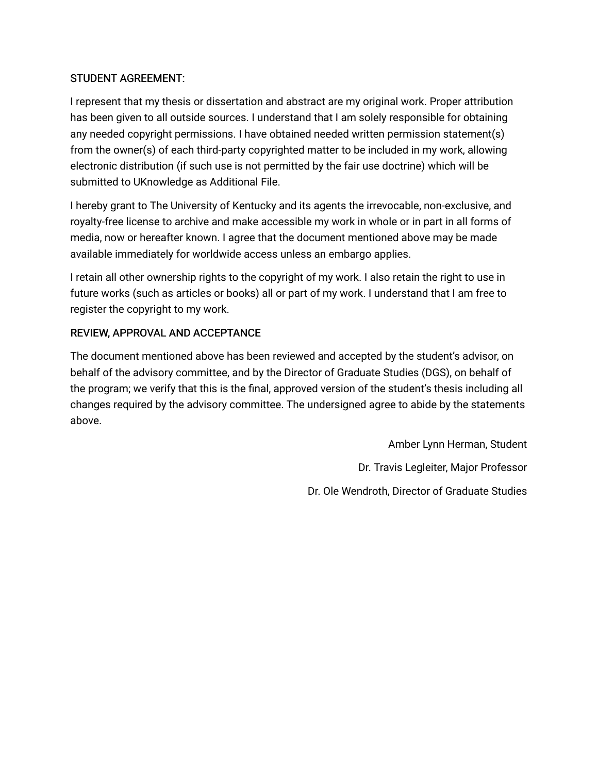# STUDENT AGREEMENT:

I represent that my thesis or dissertation and abstract are my original work. Proper attribution has been given to all outside sources. I understand that I am solely responsible for obtaining any needed copyright permissions. I have obtained needed written permission statement(s) from the owner(s) of each third-party copyrighted matter to be included in my work, allowing electronic distribution (if such use is not permitted by the fair use doctrine) which will be submitted to UKnowledge as Additional File.

I hereby grant to The University of Kentucky and its agents the irrevocable, non-exclusive, and royalty-free license to archive and make accessible my work in whole or in part in all forms of media, now or hereafter known. I agree that the document mentioned above may be made available immediately for worldwide access unless an embargo applies.

I retain all other ownership rights to the copyright of my work. I also retain the right to use in future works (such as articles or books) all or part of my work. I understand that I am free to register the copyright to my work.

# REVIEW, APPROVAL AND ACCEPTANCE

The document mentioned above has been reviewed and accepted by the student's advisor, on behalf of the advisory committee, and by the Director of Graduate Studies (DGS), on behalf of the program; we verify that this is the final, approved version of the student's thesis including all changes required by the advisory committee. The undersigned agree to abide by the statements above.

> Amber Lynn Herman, Student Dr. Travis Legleiter, Major Professor Dr. Ole Wendroth, Director of Graduate Studies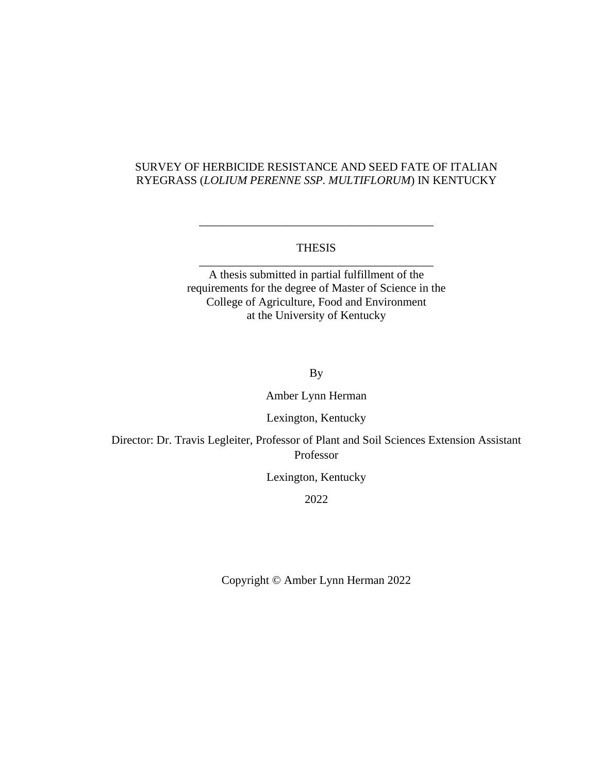### SURVEY OF HERBICIDE RESISTANCE AND SEED FATE OF ITALIAN RYEGRASS (*LOLIUM PERENNE SSP. MULTIFLORUM*) IN KENTUCKY

### THESIS \_\_\_\_\_\_\_\_\_\_\_\_\_\_\_\_\_\_\_\_\_\_\_\_\_\_\_\_\_\_\_\_\_\_\_\_\_\_\_\_

\_\_\_\_\_\_\_\_\_\_\_\_\_\_\_\_\_\_\_\_\_\_\_\_\_\_\_\_\_\_\_\_\_\_\_\_\_\_\_\_

A thesis submitted in partial fulfillment of the requirements for the degree of Master of Science in the College of Agriculture, Food and Environment at the University of Kentucky

By

#### Amber Lynn Herman

#### Lexington, Kentucky

Director: Dr. Travis Legleiter, Professor of Plant and Soil Sciences Extension Assistant Professor

Lexington, Kentucky

2022

Copyright © Amber Lynn Herman 2022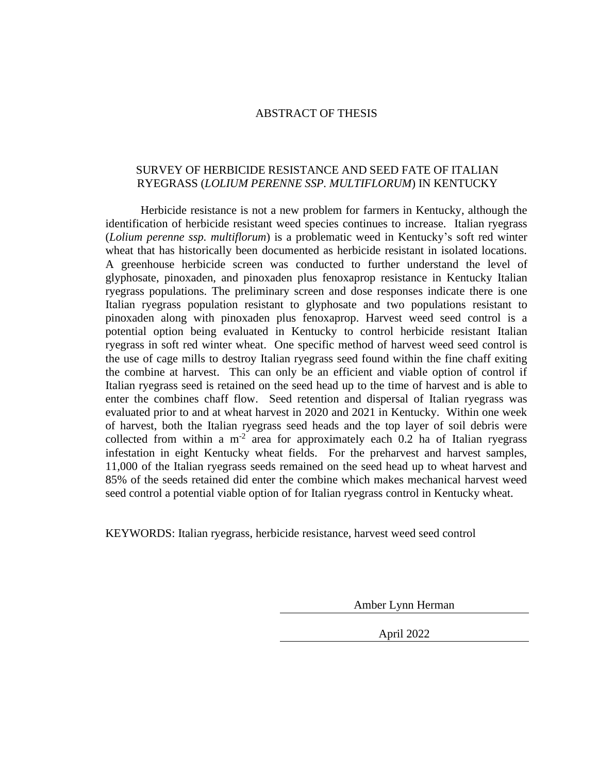#### ABSTRACT OF THESIS

#### SURVEY OF HERBICIDE RESISTANCE AND SEED FATE OF ITALIAN RYEGRASS (*LOLIUM PERENNE SSP. MULTIFLORUM*) IN KENTUCKY

Herbicide resistance is not a new problem for farmers in Kentucky, although the identification of herbicide resistant weed species continues to increase. Italian ryegrass (*Lolium perenne ssp. multiflorum*) is a problematic weed in Kentucky's soft red winter wheat that has historically been documented as herbicide resistant in isolated locations. A greenhouse herbicide screen was conducted to further understand the level of glyphosate, pinoxaden, and pinoxaden plus fenoxaprop resistance in Kentucky Italian ryegrass populations. The preliminary screen and dose responses indicate there is one Italian ryegrass population resistant to glyphosate and two populations resistant to pinoxaden along with pinoxaden plus fenoxaprop. Harvest weed seed control is a potential option being evaluated in Kentucky to control herbicide resistant Italian ryegrass in soft red winter wheat. One specific method of harvest weed seed control is the use of cage mills to destroy Italian ryegrass seed found within the fine chaff exiting the combine at harvest. This can only be an efficient and viable option of control if Italian ryegrass seed is retained on the seed head up to the time of harvest and is able to enter the combines chaff flow. Seed retention and dispersal of Italian ryegrass was evaluated prior to and at wheat harvest in 2020 and 2021 in Kentucky. Within one week of harvest, both the Italian ryegrass seed heads and the top layer of soil debris were collected from within a  $m<sup>2</sup>$  area for approximately each 0.2 ha of Italian ryegrass infestation in eight Kentucky wheat fields. For the preharvest and harvest samples, 11,000 of the Italian ryegrass seeds remained on the seed head up to wheat harvest and 85% of the seeds retained did enter the combine which makes mechanical harvest weed seed control a potential viable option of for Italian ryegrass control in Kentucky wheat.

KEYWORDS: Italian ryegrass, herbicide resistance, harvest weed seed control

Amber Lynn Herman

April 2022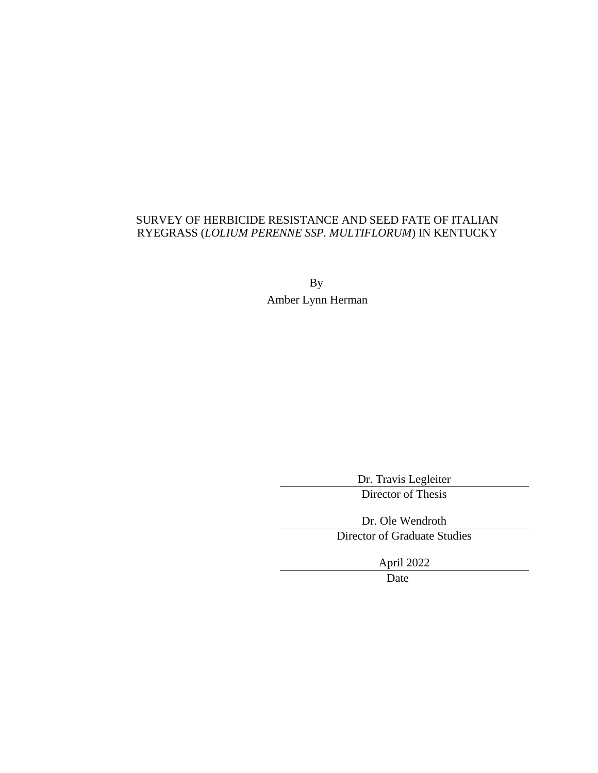# SURVEY OF HERBICIDE RESISTANCE AND SEED FATE OF ITALIAN RYEGRASS (*LOLIUM PERENNE SSP. MULTIFLORUM*) IN KENTUCKY

By Amber Lynn Herman

> Dr. Travis Legleiter Director of Thesis

Dr. Ole Wendroth

Director of Graduate Studies

April 2022

Date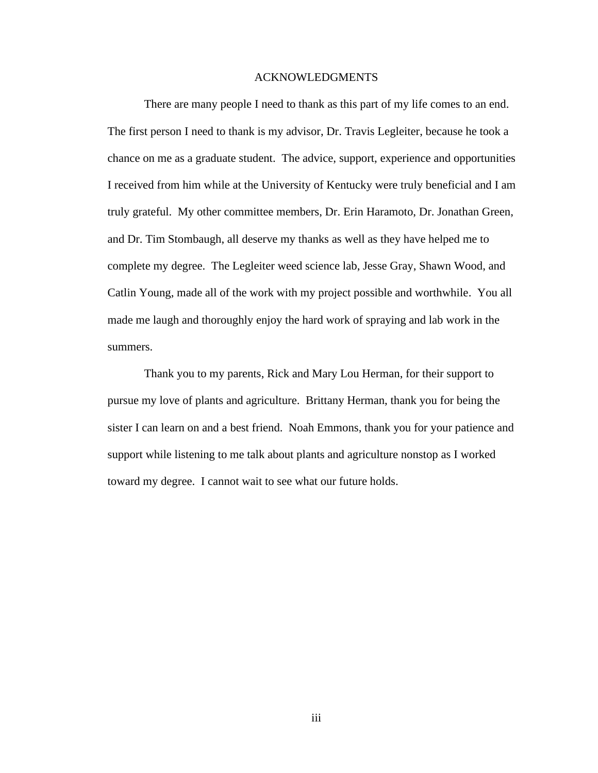#### ACKNOWLEDGMENTS

<span id="page-5-0"></span>There are many people I need to thank as this part of my life comes to an end. The first person I need to thank is my advisor, Dr. Travis Legleiter, because he took a chance on me as a graduate student. The advice, support, experience and opportunities I received from him while at the University of Kentucky were truly beneficial and I am truly grateful. My other committee members, Dr. Erin Haramoto, Dr. Jonathan Green, and Dr. Tim Stombaugh, all deserve my thanks as well as they have helped me to complete my degree. The Legleiter weed science lab, Jesse Gray, Shawn Wood, and Catlin Young, made all of the work with my project possible and worthwhile. You all made me laugh and thoroughly enjoy the hard work of spraying and lab work in the summers.

Thank you to my parents, Rick and Mary Lou Herman, for their support to pursue my love of plants and agriculture. Brittany Herman, thank you for being the sister I can learn on and a best friend. Noah Emmons, thank you for your patience and support while listening to me talk about plants and agriculture nonstop as I worked toward my degree. I cannot wait to see what our future holds.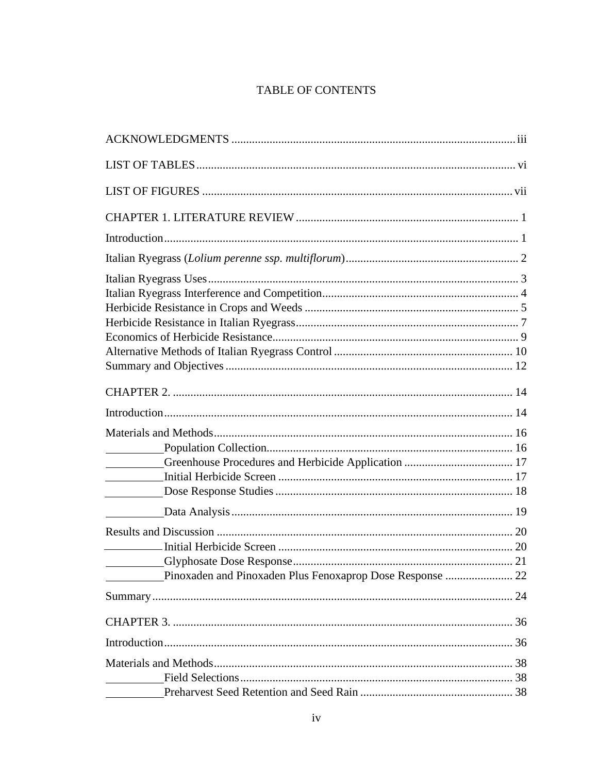# TABLE OF CONTENTS

| Pinoxaden and Pinoxaden Plus Fenoxaprop Dose Response  22 |  |
|-----------------------------------------------------------|--|
|                                                           |  |
|                                                           |  |
|                                                           |  |
|                                                           |  |
|                                                           |  |
|                                                           |  |
|                                                           |  |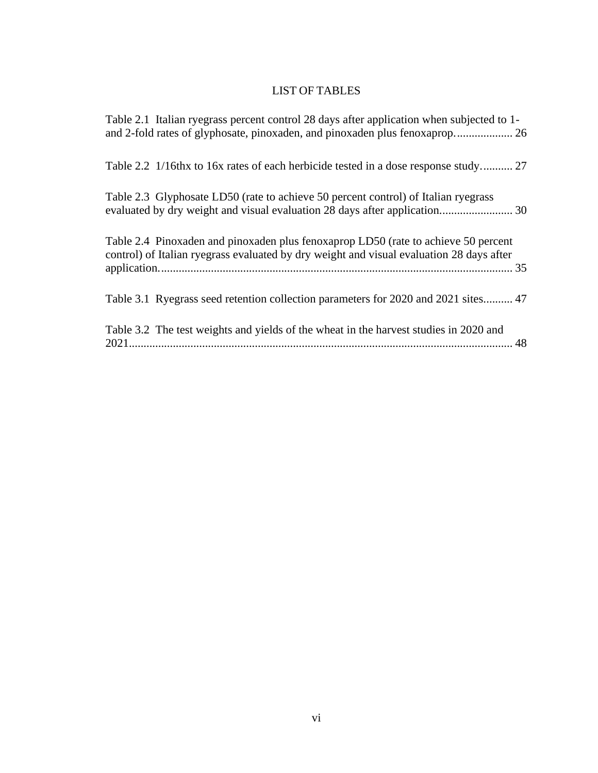# LIST OF TABLES

<span id="page-8-1"></span><span id="page-8-0"></span>

| Table 2.1 Italian ryegrass percent control 28 days after application when subjected to 1-                                                                                      |  |
|--------------------------------------------------------------------------------------------------------------------------------------------------------------------------------|--|
| Table 2.2 1/16thx to 16x rates of each herbicide tested in a dose response study 27                                                                                            |  |
| Table 2.3 Glyphosate LD50 (rate to achieve 50 percent control) of Italian ryegrass                                                                                             |  |
| Table 2.4 Pinoxaden and pinoxaden plus fenoxaprop LD50 (rate to achieve 50 percent<br>control) of Italian ryegrass evaluated by dry weight and visual evaluation 28 days after |  |
| Table 3.1 Ryegrass seed retention collection parameters for 2020 and 2021 sites 47                                                                                             |  |
| Table 3.2 The test weights and yields of the wheat in the harvest studies in 2020 and                                                                                          |  |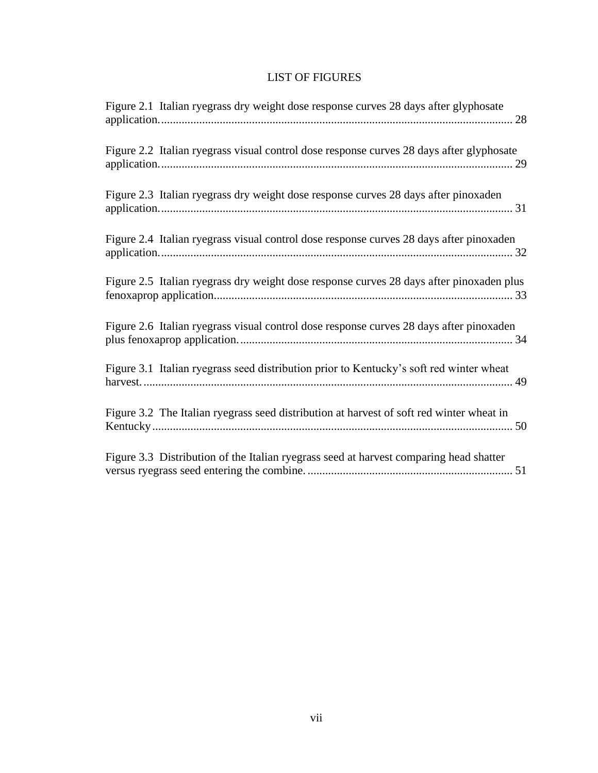# LIST OF FIGURES

| Figure 2.1 Italian ryegrass dry weight dose response curves 28 days after glyphosate     |
|------------------------------------------------------------------------------------------|
| Figure 2.2 Italian ryegrass visual control dose response curves 28 days after glyphosate |
| Figure 2.3 Italian ryegrass dry weight dose response curves 28 days after pinoxaden      |
| Figure 2.4 Italian ryegrass visual control dose response curves 28 days after pinoxaden  |
| Figure 2.5 Italian ryegrass dry weight dose response curves 28 days after pinoxaden plus |
| Figure 2.6 Italian ryegrass visual control dose response curves 28 days after pinoxaden  |
| Figure 3.1 Italian ryegrass seed distribution prior to Kentucky's soft red winter wheat  |
| Figure 3.2 The Italian ryegrass seed distribution at harvest of soft red winter wheat in |
| Figure 3.3 Distribution of the Italian ryegrass seed at harvest comparing head shatter   |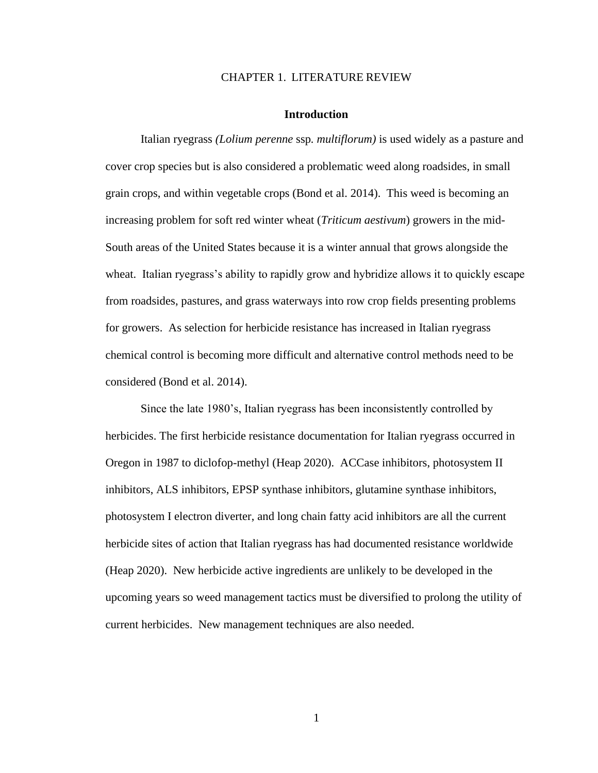#### CHAPTER 1. LITERATURE REVIEW

#### **Introduction**

Italian ryegrass *(Lolium perenne* ssp*. multiflorum)* is used widely as a pasture and cover crop species but is also considered a problematic weed along roadsides, in small grain crops, and within vegetable crops (Bond et al. 2014). This weed is becoming an increasing problem for soft red winter wheat (*Triticum aestivum*) growers in the mid-South areas of the United States because it is a winter annual that grows alongside the wheat. Italian ryegrass's ability to rapidly grow and hybridize allows it to quickly escape from roadsides, pastures, and grass waterways into row crop fields presenting problems for growers. As selection for herbicide resistance has increased in Italian ryegrass chemical control is becoming more difficult and alternative control methods need to be considered (Bond et al. 2014).

Since the late 1980's, Italian ryegrass has been inconsistently controlled by herbicides. The first herbicide resistance documentation for Italian ryegrass occurred in Oregon in 1987 to diclofop-methyl (Heap 2020). ACCase inhibitors, photosystem II inhibitors, ALS inhibitors, EPSP synthase inhibitors, glutamine synthase inhibitors, photosystem I electron diverter, and long chain fatty acid inhibitors are all the current herbicide sites of action that Italian ryegrass has had documented resistance worldwide (Heap 2020). New herbicide active ingredients are unlikely to be developed in the upcoming years so weed management tactics must be diversified to prolong the utility of current herbicides. New management techniques are also needed.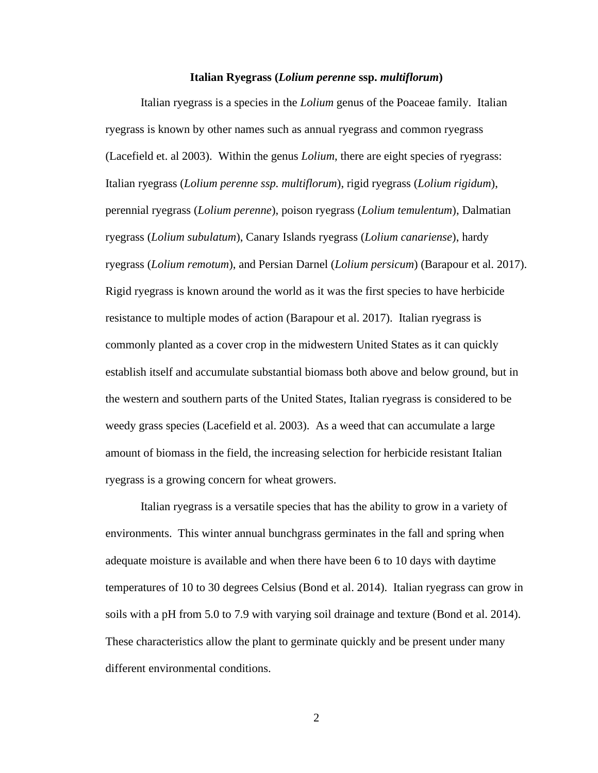#### **Italian Ryegrass (***Lolium perenne* **ssp.** *multiflorum***)**

Italian ryegrass is a species in the *Lolium* genus of the Poaceae family. Italian ryegrass is known by other names such as annual ryegrass and common ryegrass (Lacefield et. al 2003). Within the genus *Lolium*, there are eight species of ryegrass: Italian ryegrass (*Lolium perenne ssp. multiflorum*), rigid ryegrass (*Lolium rigidum*), perennial ryegrass (*Lolium perenne*), poison ryegrass (*Lolium temulentum*), Dalmatian ryegrass (*Lolium subulatum*), Canary Islands ryegrass (*Lolium canariense*), hardy ryegrass (*Lolium remotum*), and Persian Darnel (*Lolium persicum*) (Barapour et al. 2017). Rigid ryegrass is known around the world as it was the first species to have herbicide resistance to multiple modes of action (Barapour et al. 2017). Italian ryegrass is commonly planted as a cover crop in the midwestern United States as it can quickly establish itself and accumulate substantial biomass both above and below ground, but in the western and southern parts of the United States, Italian ryegrass is considered to be weedy grass species (Lacefield et al. 2003). As a weed that can accumulate a large amount of biomass in the field, the increasing selection for herbicide resistant Italian ryegrass is a growing concern for wheat growers.

Italian ryegrass is a versatile species that has the ability to grow in a variety of environments. This winter annual bunchgrass germinates in the fall and spring when adequate moisture is available and when there have been 6 to 10 days with daytime temperatures of 10 to 30 degrees Celsius (Bond et al. 2014). Italian ryegrass can grow in soils with a pH from 5.0 to 7.9 with varying soil drainage and texture (Bond et al. 2014). These characteristics allow the plant to germinate quickly and be present under many different environmental conditions.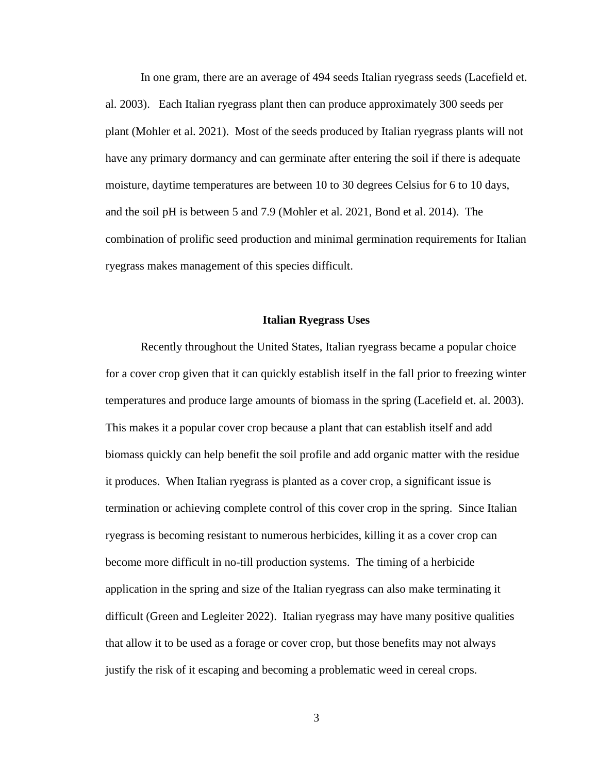In one gram, there are an average of 494 seeds Italian ryegrass seeds (Lacefield et. al. 2003). Each Italian ryegrass plant then can produce approximately 300 seeds per plant (Mohler et al. 2021). Most of the seeds produced by Italian ryegrass plants will not have any primary dormancy and can germinate after entering the soil if there is adequate moisture, daytime temperatures are between 10 to 30 degrees Celsius for 6 to 10 days, and the soil pH is between 5 and 7.9 (Mohler et al. 2021, Bond et al. 2014). The combination of prolific seed production and minimal germination requirements for Italian ryegrass makes management of this species difficult.

#### **Italian Ryegrass Uses**

Recently throughout the United States, Italian ryegrass became a popular choice for a cover crop given that it can quickly establish itself in the fall prior to freezing winter temperatures and produce large amounts of biomass in the spring (Lacefield et. al. 2003). This makes it a popular cover crop because a plant that can establish itself and add biomass quickly can help benefit the soil profile and add organic matter with the residue it produces. When Italian ryegrass is planted as a cover crop, a significant issue is termination or achieving complete control of this cover crop in the spring. Since Italian ryegrass is becoming resistant to numerous herbicides, killing it as a cover crop can become more difficult in no-till production systems. The timing of a herbicide application in the spring and size of the Italian ryegrass can also make terminating it difficult (Green and Legleiter 2022). Italian ryegrass may have many positive qualities that allow it to be used as a forage or cover crop, but those benefits may not always justify the risk of it escaping and becoming a problematic weed in cereal crops.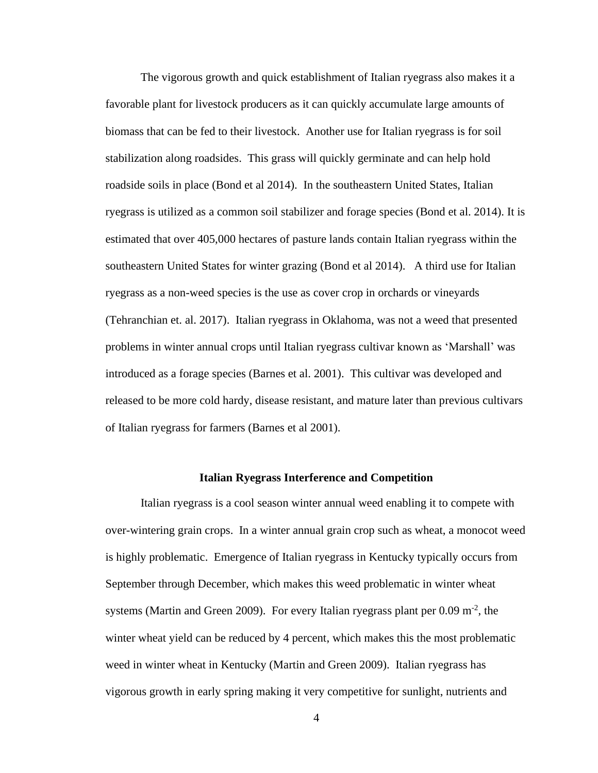The vigorous growth and quick establishment of Italian ryegrass also makes it a favorable plant for livestock producers as it can quickly accumulate large amounts of biomass that can be fed to their livestock. Another use for Italian ryegrass is for soil stabilization along roadsides. This grass will quickly germinate and can help hold roadside soils in place (Bond et al 2014). In the southeastern United States, Italian ryegrass is utilized as a common soil stabilizer and forage species (Bond et al. 2014). It is estimated that over 405,000 hectares of pasture lands contain Italian ryegrass within the southeastern United States for winter grazing (Bond et al 2014). A third use for Italian ryegrass as a non-weed species is the use as cover crop in orchards or vineyards (Tehranchian et. al. 2017). Italian ryegrass in Oklahoma, was not a weed that presented problems in winter annual crops until Italian ryegrass cultivar known as 'Marshall' was introduced as a forage species (Barnes et al. 2001). This cultivar was developed and released to be more cold hardy, disease resistant, and mature later than previous cultivars of Italian ryegrass for farmers (Barnes et al 2001).

#### **Italian Ryegrass Interference and Competition**

Italian ryegrass is a cool season winter annual weed enabling it to compete with over-wintering grain crops. In a winter annual grain crop such as wheat, a monocot weed is highly problematic. Emergence of Italian ryegrass in Kentucky typically occurs from September through December, which makes this weed problematic in winter wheat systems (Martin and Green 2009). For every Italian ryegrass plant per  $0.09 \text{ m}^2$ , the winter wheat yield can be reduced by 4 percent, which makes this the most problematic weed in winter wheat in Kentucky (Martin and Green 2009). Italian ryegrass has vigorous growth in early spring making it very competitive for sunlight, nutrients and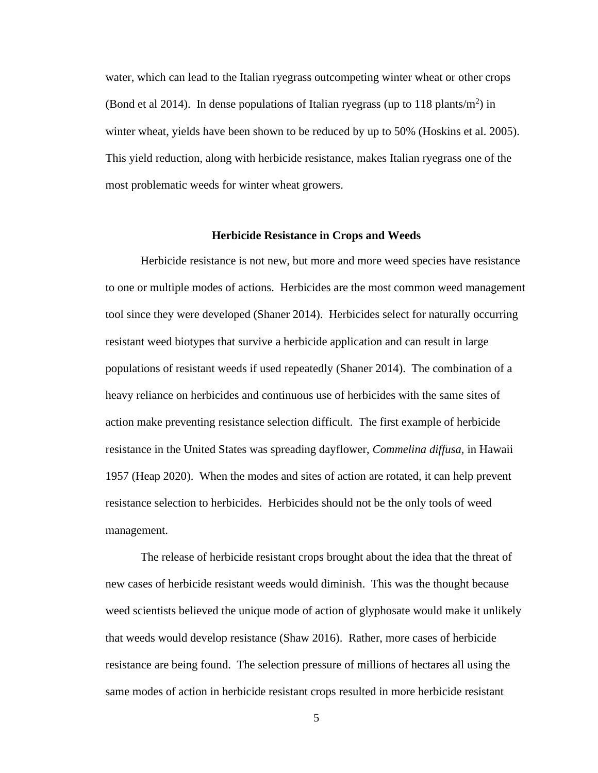water, which can lead to the Italian ryegrass outcompeting winter wheat or other crops (Bond et al 2014). In dense populations of Italian ryegrass (up to 118 plants/ $m<sup>2</sup>$ ) in winter wheat, yields have been shown to be reduced by up to 50% (Hoskins et al. 2005). This yield reduction, along with herbicide resistance, makes Italian ryegrass one of the most problematic weeds for winter wheat growers.

#### **Herbicide Resistance in Crops and Weeds**

Herbicide resistance is not new, but more and more weed species have resistance to one or multiple modes of actions. Herbicides are the most common weed management tool since they were developed (Shaner 2014). Herbicides select for naturally occurring resistant weed biotypes that survive a herbicide application and can result in large populations of resistant weeds if used repeatedly (Shaner 2014). The combination of a heavy reliance on herbicides and continuous use of herbicides with the same sites of action make preventing resistance selection difficult. The first example of herbicide resistance in the United States was spreading dayflower, *Commelina diffusa,* in Hawaii 1957 (Heap 2020). When the modes and sites of action are rotated, it can help prevent resistance selection to herbicides. Herbicides should not be the only tools of weed management.

The release of herbicide resistant crops brought about the idea that the threat of new cases of herbicide resistant weeds would diminish. This was the thought because weed scientists believed the unique mode of action of glyphosate would make it unlikely that weeds would develop resistance (Shaw 2016). Rather, more cases of herbicide resistance are being found. The selection pressure of millions of hectares all using the same modes of action in herbicide resistant crops resulted in more herbicide resistant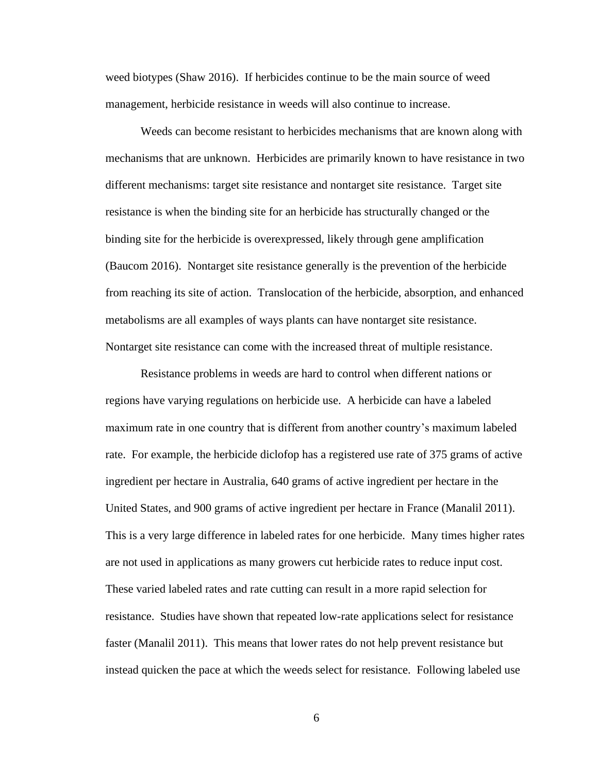weed biotypes (Shaw 2016). If herbicides continue to be the main source of weed management, herbicide resistance in weeds will also continue to increase.

Weeds can become resistant to herbicides mechanisms that are known along with mechanisms that are unknown. Herbicides are primarily known to have resistance in two different mechanisms: target site resistance and nontarget site resistance. Target site resistance is when the binding site for an herbicide has structurally changed or the binding site for the herbicide is overexpressed, likely through gene amplification (Baucom 2016). Nontarget site resistance generally is the prevention of the herbicide from reaching its site of action. Translocation of the herbicide, absorption, and enhanced metabolisms are all examples of ways plants can have nontarget site resistance. Nontarget site resistance can come with the increased threat of multiple resistance.

Resistance problems in weeds are hard to control when different nations or regions have varying regulations on herbicide use. A herbicide can have a labeled maximum rate in one country that is different from another country's maximum labeled rate. For example, the herbicide diclofop has a registered use rate of 375 grams of active ingredient per hectare in Australia, 640 grams of active ingredient per hectare in the United States, and 900 grams of active ingredient per hectare in France (Manalil 2011). This is a very large difference in labeled rates for one herbicide. Many times higher rates are not used in applications as many growers cut herbicide rates to reduce input cost. These varied labeled rates and rate cutting can result in a more rapid selection for resistance. Studies have shown that repeated low-rate applications select for resistance faster (Manalil 2011). This means that lower rates do not help prevent resistance but instead quicken the pace at which the weeds select for resistance. Following labeled use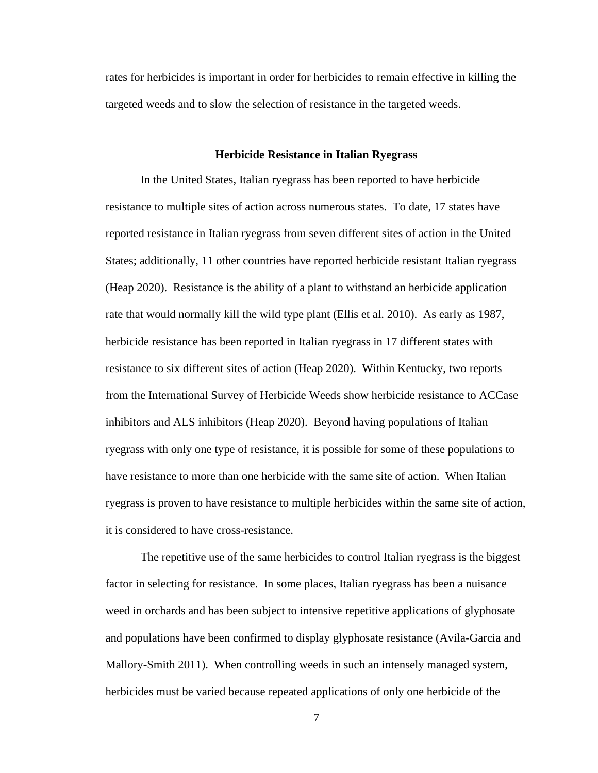rates for herbicides is important in order for herbicides to remain effective in killing the targeted weeds and to slow the selection of resistance in the targeted weeds.

#### **Herbicide Resistance in Italian Ryegrass**

In the United States, Italian ryegrass has been reported to have herbicide resistance to multiple sites of action across numerous states. To date, 17 states have reported resistance in Italian ryegrass from seven different sites of action in the United States; additionally, 11 other countries have reported herbicide resistant Italian ryegrass (Heap 2020). Resistance is the ability of a plant to withstand an herbicide application rate that would normally kill the wild type plant (Ellis et al. 2010). As early as 1987, herbicide resistance has been reported in Italian ryegrass in 17 different states with resistance to six different sites of action (Heap 2020). Within Kentucky, two reports from the International Survey of Herbicide Weeds show herbicide resistance to ACCase inhibitors and ALS inhibitors (Heap 2020). Beyond having populations of Italian ryegrass with only one type of resistance, it is possible for some of these populations to have resistance to more than one herbicide with the same site of action. When Italian ryegrass is proven to have resistance to multiple herbicides within the same site of action, it is considered to have cross-resistance.

The repetitive use of the same herbicides to control Italian ryegrass is the biggest factor in selecting for resistance. In some places, Italian ryegrass has been a nuisance weed in orchards and has been subject to intensive repetitive applications of glyphosate and populations have been confirmed to display glyphosate resistance (Avila-Garcia and Mallory-Smith 2011). When controlling weeds in such an intensely managed system, herbicides must be varied because repeated applications of only one herbicide of the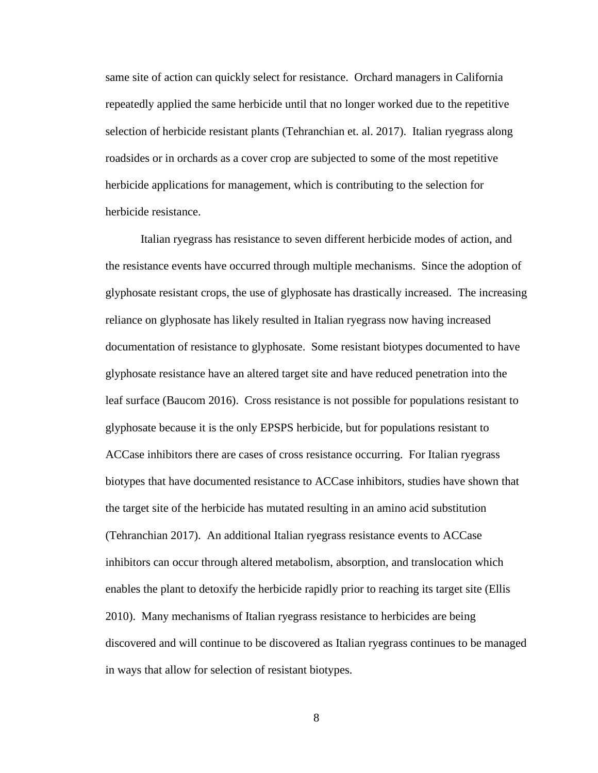same site of action can quickly select for resistance. Orchard managers in California repeatedly applied the same herbicide until that no longer worked due to the repetitive selection of herbicide resistant plants (Tehranchian et. al. 2017). Italian ryegrass along roadsides or in orchards as a cover crop are subjected to some of the most repetitive herbicide applications for management, which is contributing to the selection for herbicide resistance.

Italian ryegrass has resistance to seven different herbicide modes of action, and the resistance events have occurred through multiple mechanisms. Since the adoption of glyphosate resistant crops, the use of glyphosate has drastically increased. The increasing reliance on glyphosate has likely resulted in Italian ryegrass now having increased documentation of resistance to glyphosate. Some resistant biotypes documented to have glyphosate resistance have an altered target site and have reduced penetration into the leaf surface (Baucom 2016). Cross resistance is not possible for populations resistant to glyphosate because it is the only EPSPS herbicide, but for populations resistant to ACCase inhibitors there are cases of cross resistance occurring. For Italian ryegrass biotypes that have documented resistance to ACCase inhibitors, studies have shown that the target site of the herbicide has mutated resulting in an amino acid substitution (Tehranchian 2017). An additional Italian ryegrass resistance events to ACCase inhibitors can occur through altered metabolism, absorption, and translocation which enables the plant to detoxify the herbicide rapidly prior to reaching its target site (Ellis 2010). Many mechanisms of Italian ryegrass resistance to herbicides are being discovered and will continue to be discovered as Italian ryegrass continues to be managed in ways that allow for selection of resistant biotypes.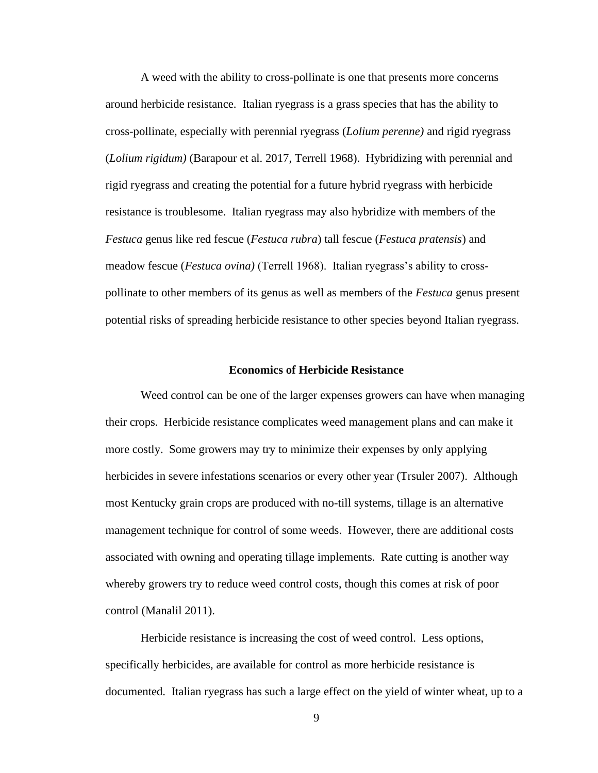A weed with the ability to cross-pollinate is one that presents more concerns around herbicide resistance. Italian ryegrass is a grass species that has the ability to cross-pollinate, especially with perennial ryegrass (*Lolium perenne)* and rigid ryegrass (*Lolium rigidum)* (Barapour et al. 2017, Terrell 1968). Hybridizing with perennial and rigid ryegrass and creating the potential for a future hybrid ryegrass with herbicide resistance is troublesome. Italian ryegrass may also hybridize with members of the *Festuca* genus like red fescue (*Festuca rubra*) tall fescue (*Festuca pratensis*) and meadow fescue (*Festuca ovina)* (Terrell 1968). Italian ryegrass's ability to crosspollinate to other members of its genus as well as members of the *Festuca* genus present potential risks of spreading herbicide resistance to other species beyond Italian ryegrass.

### **Economics of Herbicide Resistance**

Weed control can be one of the larger expenses growers can have when managing their crops. Herbicide resistance complicates weed management plans and can make it more costly. Some growers may try to minimize their expenses by only applying herbicides in severe infestations scenarios or every other year (Trsuler 2007). Although most Kentucky grain crops are produced with no-till systems, tillage is an alternative management technique for control of some weeds. However, there are additional costs associated with owning and operating tillage implements. Rate cutting is another way whereby growers try to reduce weed control costs, though this comes at risk of poor control (Manalil 2011).

Herbicide resistance is increasing the cost of weed control. Less options, specifically herbicides, are available for control as more herbicide resistance is documented. Italian ryegrass has such a large effect on the yield of winter wheat, up to a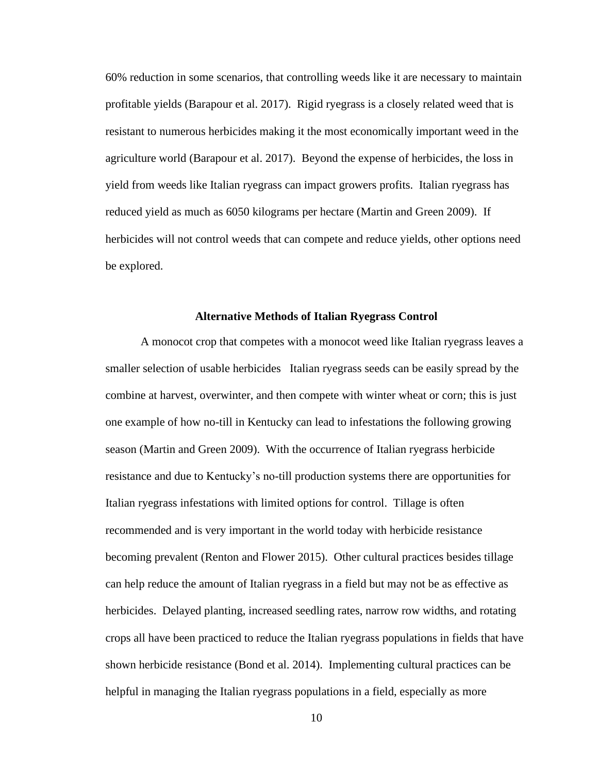60% reduction in some scenarios, that controlling weeds like it are necessary to maintain profitable yields (Barapour et al. 2017). Rigid ryegrass is a closely related weed that is resistant to numerous herbicides making it the most economically important weed in the agriculture world (Barapour et al. 2017). Beyond the expense of herbicides, the loss in yield from weeds like Italian ryegrass can impact growers profits. Italian ryegrass has reduced yield as much as 6050 kilograms per hectare (Martin and Green 2009). If herbicides will not control weeds that can compete and reduce yields, other options need be explored.

#### **Alternative Methods of Italian Ryegrass Control**

A monocot crop that competes with a monocot weed like Italian ryegrass leaves a smaller selection of usable herbicides Italian ryegrass seeds can be easily spread by the combine at harvest, overwinter, and then compete with winter wheat or corn; this is just one example of how no-till in Kentucky can lead to infestations the following growing season (Martin and Green 2009). With the occurrence of Italian ryegrass herbicide resistance and due to Kentucky's no-till production systems there are opportunities for Italian ryegrass infestations with limited options for control. Tillage is often recommended and is very important in the world today with herbicide resistance becoming prevalent (Renton and Flower 2015). Other cultural practices besides tillage can help reduce the amount of Italian ryegrass in a field but may not be as effective as herbicides. Delayed planting, increased seedling rates, narrow row widths, and rotating crops all have been practiced to reduce the Italian ryegrass populations in fields that have shown herbicide resistance (Bond et al. 2014). Implementing cultural practices can be helpful in managing the Italian ryegrass populations in a field, especially as more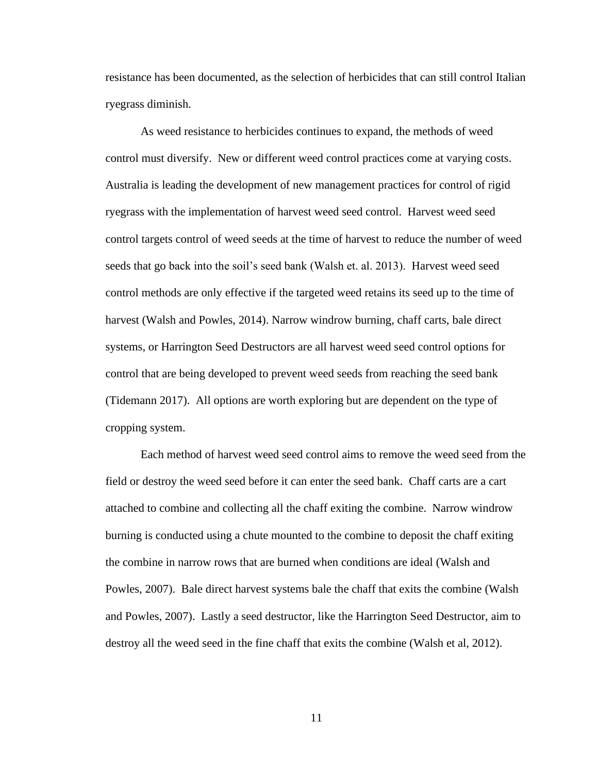resistance has been documented, as the selection of herbicides that can still control Italian ryegrass diminish.

As weed resistance to herbicides continues to expand, the methods of weed control must diversify. New or different weed control practices come at varying costs. Australia is leading the development of new management practices for control of rigid ryegrass with the implementation of harvest weed seed control. Harvest weed seed control targets control of weed seeds at the time of harvest to reduce the number of weed seeds that go back into the soil's seed bank (Walsh et. al. 2013). Harvest weed seed control methods are only effective if the targeted weed retains its seed up to the time of harvest (Walsh and Powles, 2014). Narrow windrow burning, chaff carts, bale direct systems, or Harrington Seed Destructors are all harvest weed seed control options for control that are being developed to prevent weed seeds from reaching the seed bank (Tidemann 2017). All options are worth exploring but are dependent on the type of cropping system.

Each method of harvest weed seed control aims to remove the weed seed from the field or destroy the weed seed before it can enter the seed bank. Chaff carts are a cart attached to combine and collecting all the chaff exiting the combine. Narrow windrow burning is conducted using a chute mounted to the combine to deposit the chaff exiting the combine in narrow rows that are burned when conditions are ideal (Walsh and Powles, 2007). Bale direct harvest systems bale the chaff that exits the combine (Walsh and Powles, 2007). Lastly a seed destructor, like the Harrington Seed Destructor, aim to destroy all the weed seed in the fine chaff that exits the combine (Walsh et al, 2012).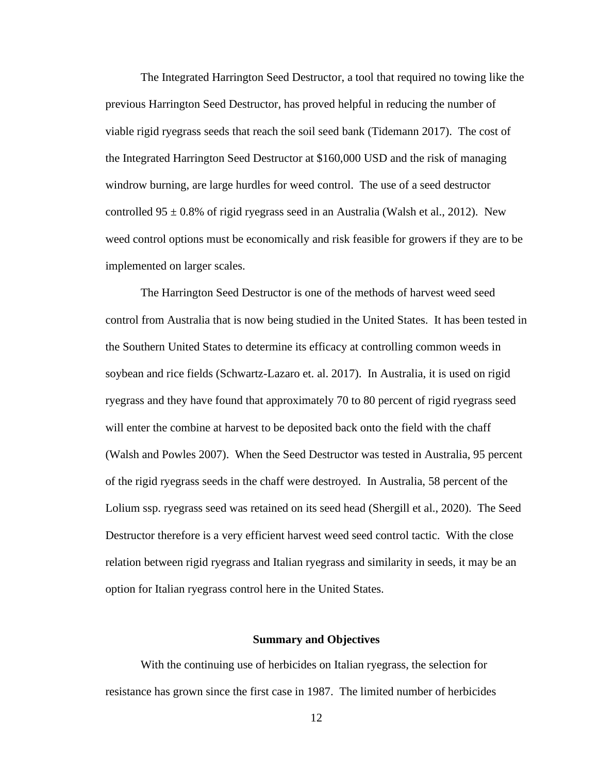The Integrated Harrington Seed Destructor, a tool that required no towing like the previous Harrington Seed Destructor, has proved helpful in reducing the number of viable rigid ryegrass seeds that reach the soil seed bank (Tidemann 2017). The cost of the Integrated Harrington Seed Destructor at \$160,000 USD and the risk of managing windrow burning, are large hurdles for weed control. The use of a seed destructor controlled  $95 \pm 0.8\%$  of rigid ryegrass seed in an Australia (Walsh et al., 2012). New weed control options must be economically and risk feasible for growers if they are to be implemented on larger scales.

The Harrington Seed Destructor is one of the methods of harvest weed seed control from Australia that is now being studied in the United States. It has been tested in the Southern United States to determine its efficacy at controlling common weeds in soybean and rice fields (Schwartz-Lazaro et. al. 2017). In Australia, it is used on rigid ryegrass and they have found that approximately 70 to 80 percent of rigid ryegrass seed will enter the combine at harvest to be deposited back onto the field with the chaff (Walsh and Powles 2007). When the Seed Destructor was tested in Australia, 95 percent of the rigid ryegrass seeds in the chaff were destroyed. In Australia, 58 percent of the Lolium ssp. ryegrass seed was retained on its seed head (Shergill et al., 2020). The Seed Destructor therefore is a very efficient harvest weed seed control tactic. With the close relation between rigid ryegrass and Italian ryegrass and similarity in seeds, it may be an option for Italian ryegrass control here in the United States.

#### **Summary and Objectives**

With the continuing use of herbicides on Italian ryegrass, the selection for resistance has grown since the first case in 1987. The limited number of herbicides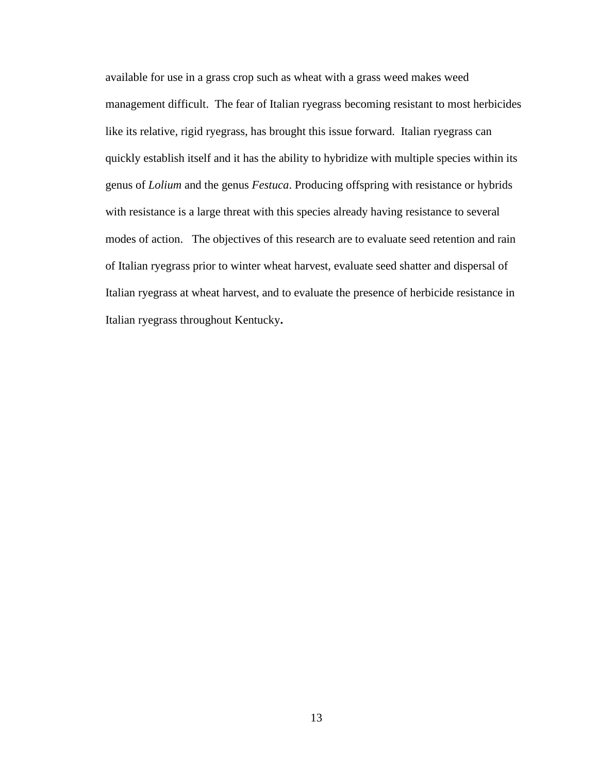available for use in a grass crop such as wheat with a grass weed makes weed management difficult. The fear of Italian ryegrass becoming resistant to most herbicides like its relative, rigid ryegrass, has brought this issue forward. Italian ryegrass can quickly establish itself and it has the ability to hybridize with multiple species within its genus of *Lolium* and the genus *Festuca*. Producing offspring with resistance or hybrids with resistance is a large threat with this species already having resistance to several modes of action. The objectives of this research are to evaluate seed retention and rain of Italian ryegrass prior to winter wheat harvest, evaluate seed shatter and dispersal of Italian ryegrass at wheat harvest, and to evaluate the presence of herbicide resistance in Italian ryegrass throughout Kentucky**.**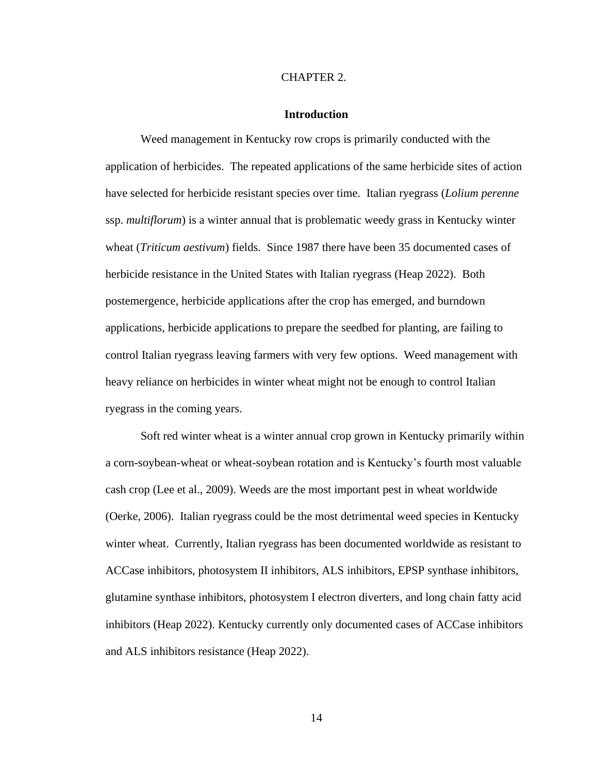#### CHAPTER 2.

#### **Introduction**

Weed management in Kentucky row crops is primarily conducted with the application of herbicides. The repeated applications of the same herbicide sites of action have selected for herbicide resistant species over time. Italian ryegrass (*Lolium perenne*  ssp. *multiflorum*) is a winter annual that is problematic weedy grass in Kentucky winter wheat (*Triticum aestivum*) fields. Since 1987 there have been 35 documented cases of herbicide resistance in the United States with Italian ryegrass (Heap 2022). Both postemergence, herbicide applications after the crop has emerged, and burndown applications, herbicide applications to prepare the seedbed for planting, are failing to control Italian ryegrass leaving farmers with very few options. Weed management with heavy reliance on herbicides in winter wheat might not be enough to control Italian ryegrass in the coming years.

Soft red winter wheat is a winter annual crop grown in Kentucky primarily within a corn-soybean-wheat or wheat-soybean rotation and is Kentucky's fourth most valuable cash crop (Lee et al., 2009). Weeds are the most important pest in wheat worldwide (Oerke, 2006). Italian ryegrass could be the most detrimental weed species in Kentucky winter wheat. Currently, Italian ryegrass has been documented worldwide as resistant to ACCase inhibitors, photosystem II inhibitors, ALS inhibitors, EPSP synthase inhibitors, glutamine synthase inhibitors, photosystem I electron diverters, and long chain fatty acid inhibitors (Heap 2022). Kentucky currently only documented cases of ACCase inhibitors and ALS inhibitors resistance (Heap 2022).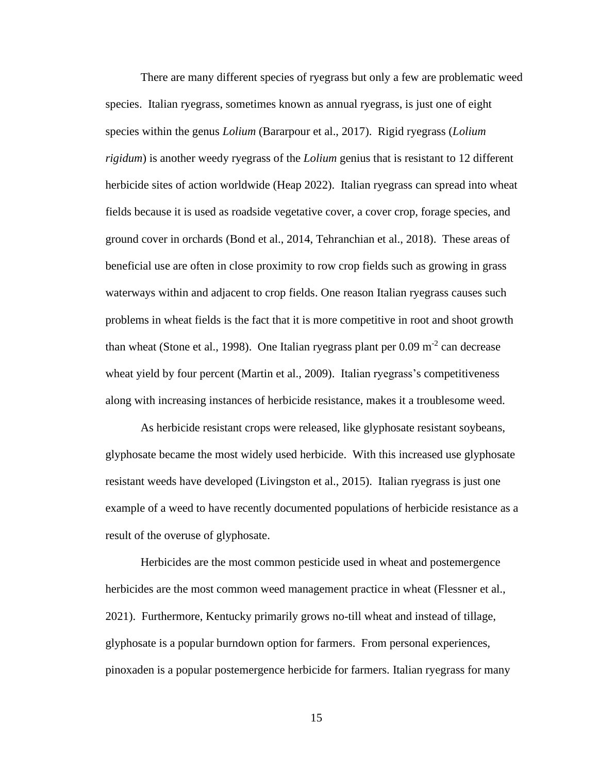There are many different species of ryegrass but only a few are problematic weed species. Italian ryegrass, sometimes known as annual ryegrass, is just one of eight species within the genus *Lolium* (Bararpour et al., 2017).Rigid ryegrass (*Lolium rigidum*) is another weedy ryegrass of the *Lolium* genius that is resistant to 12 different herbicide sites of action worldwide (Heap 2022). Italian ryegrass can spread into wheat fields because it is used as roadside vegetative cover, a cover crop, forage species, and ground cover in orchards (Bond et al., 2014, Tehranchian et al., 2018). These areas of beneficial use are often in close proximity to row crop fields such as growing in grass waterways within and adjacent to crop fields. One reason Italian ryegrass causes such problems in wheat fields is the fact that it is more competitive in root and shoot growth than wheat (Stone et al., 1998). One Italian ryegrass plant per  $0.09 \text{ m}^{-2}$  can decrease wheat yield by four percent (Martin et al., 2009). Italian ryegrass's competitiveness along with increasing instances of herbicide resistance, makes it a troublesome weed.

As herbicide resistant crops were released, like glyphosate resistant soybeans, glyphosate became the most widely used herbicide. With this increased use glyphosate resistant weeds have developed (Livingston et al., 2015). Italian ryegrass is just one example of a weed to have recently documented populations of herbicide resistance as a result of the overuse of glyphosate.

Herbicides are the most common pesticide used in wheat and postemergence herbicides are the most common weed management practice in wheat (Flessner et al., 2021). Furthermore, Kentucky primarily grows no-till wheat and instead of tillage, glyphosate is a popular burndown option for farmers. From personal experiences, pinoxaden is a popular postemergence herbicide for farmers. Italian ryegrass for many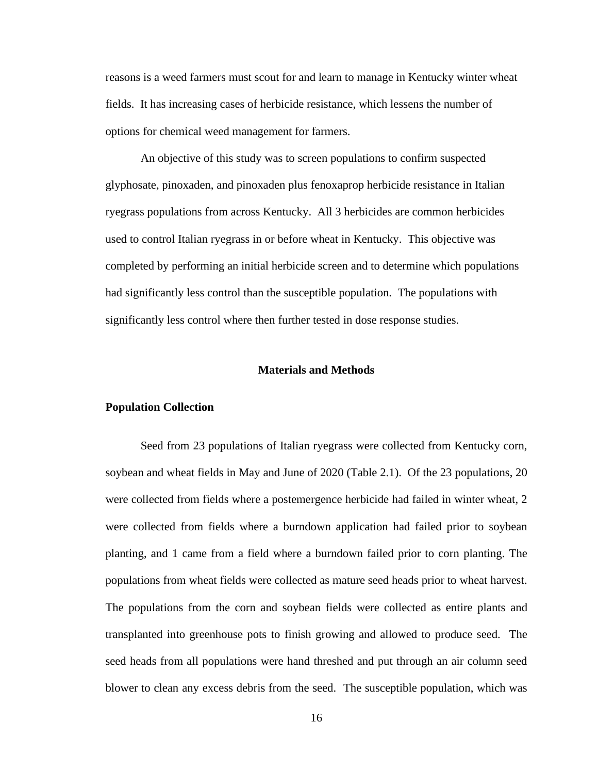reasons is a weed farmers must scout for and learn to manage in Kentucky winter wheat fields. It has increasing cases of herbicide resistance, which lessens the number of options for chemical weed management for farmers.

An objective of this study was to screen populations to confirm suspected glyphosate, pinoxaden, and pinoxaden plus fenoxaprop herbicide resistance in Italian ryegrass populations from across Kentucky. All 3 herbicides are common herbicides used to control Italian ryegrass in or before wheat in Kentucky. This objective was completed by performing an initial herbicide screen and to determine which populations had significantly less control than the susceptible population. The populations with significantly less control where then further tested in dose response studies.

#### **Materials and Methods**

#### **Population Collection**

Seed from 23 populations of Italian ryegrass were collected from Kentucky corn, soybean and wheat fields in May and June of 2020 (Table 2.1). Of the 23 populations, 20 were collected from fields where a postemergence herbicide had failed in winter wheat, 2 were collected from fields where a burndown application had failed prior to soybean planting, and 1 came from a field where a burndown failed prior to corn planting. The populations from wheat fields were collected as mature seed heads prior to wheat harvest. The populations from the corn and soybean fields were collected as entire plants and transplanted into greenhouse pots to finish growing and allowed to produce seed. The seed heads from all populations were hand threshed and put through an air column seed blower to clean any excess debris from the seed. The susceptible population, which was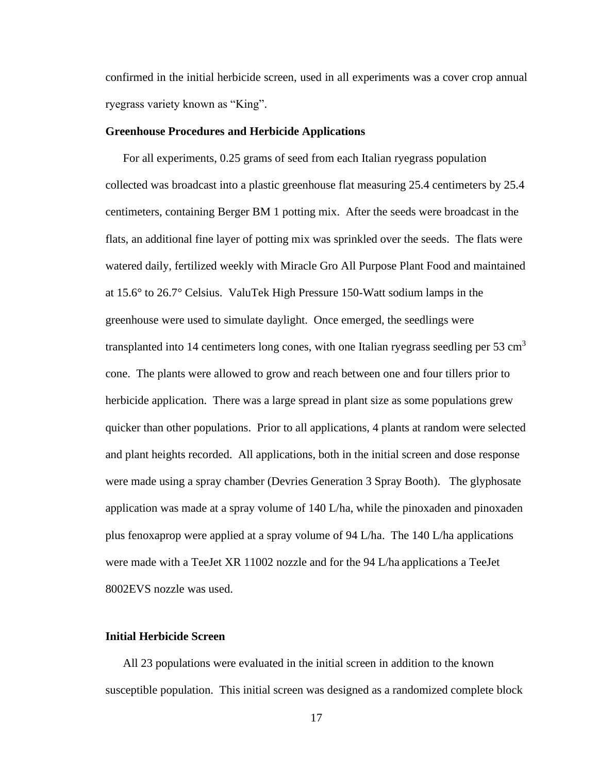confirmed in the initial herbicide screen, used in all experiments was a cover crop annual ryegrass variety known as "King".

#### **Greenhouse Procedures and Herbicide Applications**

For all experiments, 0.25 grams of seed from each Italian ryegrass population collected was broadcast into a plastic greenhouse flat measuring 25.4 centimeters by 25.4 centimeters, containing Berger BM 1 potting mix. After the seeds were broadcast in the flats, an additional fine layer of potting mix was sprinkled over the seeds. The flats were watered daily, fertilized weekly with Miracle Gro All Purpose Plant Food and maintained at 15.6° to 26.7° Celsius. ValuTek High Pressure 150-Watt sodium lamps in the greenhouse were used to simulate daylight. Once emerged, the seedlings were transplanted into 14 centimeters long cones, with one Italian ryegrass seedling per 53  $\text{cm}^3$ cone. The plants were allowed to grow and reach between one and four tillers prior to herbicide application. There was a large spread in plant size as some populations grew quicker than other populations. Prior to all applications, 4 plants at random were selected and plant heights recorded. All applications, both in the initial screen and dose response were made using a spray chamber (Devries Generation 3 Spray Booth). The glyphosate application was made at a spray volume of 140 L/ha, while the pinoxaden and pinoxaden plus fenoxaprop were applied at a spray volume of 94 L/ha. The 140 L/ha applications were made with a TeeJet XR 11002 nozzle and for the 94 L/ha applications a TeeJet 8002EVS nozzle was used.

#### **Initial Herbicide Screen**

All 23 populations were evaluated in the initial screen in addition to the known susceptible population. This initial screen was designed as a randomized complete block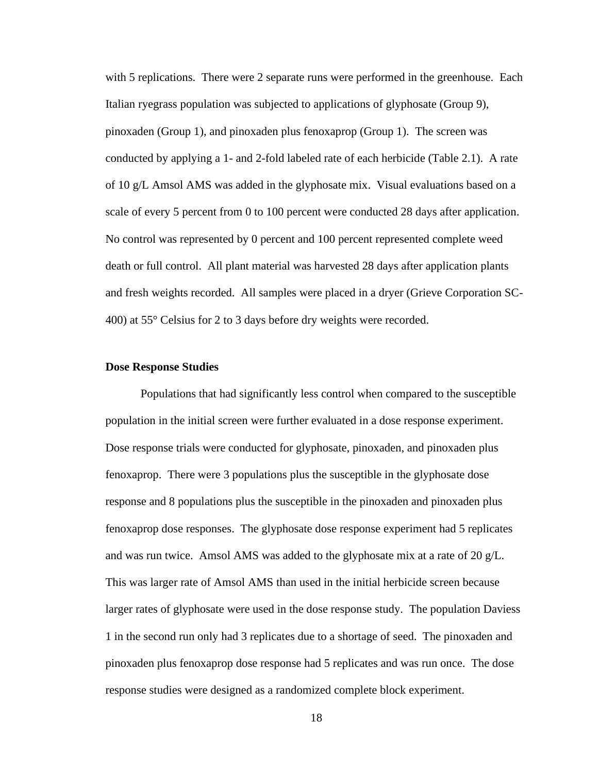with 5 replications. There were 2 separate runs were performed in the greenhouse. Each Italian ryegrass population was subjected to applications of glyphosate (Group 9), pinoxaden (Group 1), and pinoxaden plus fenoxaprop (Group 1). The screen was conducted by applying a 1- and 2-fold labeled rate of each herbicide (Table 2.1). A rate of 10 g/L Amsol AMS was added in the glyphosate mix. Visual evaluations based on a scale of every 5 percent from 0 to 100 percent were conducted 28 days after application. No control was represented by 0 percent and 100 percent represented complete weed death or full control. All plant material was harvested 28 days after application plants and fresh weights recorded. All samples were placed in a dryer (Grieve Corporation SC-400) at 55° Celsius for 2 to 3 days before dry weights were recorded.

#### **Dose Response Studies**

Populations that had significantly less control when compared to the susceptible population in the initial screen were further evaluated in a dose response experiment. Dose response trials were conducted for glyphosate, pinoxaden, and pinoxaden plus fenoxaprop. There were 3 populations plus the susceptible in the glyphosate dose response and 8 populations plus the susceptible in the pinoxaden and pinoxaden plus fenoxaprop dose responses. The glyphosate dose response experiment had 5 replicates and was run twice. Amsol AMS was added to the glyphosate mix at a rate of 20 g/L. This was larger rate of Amsol AMS than used in the initial herbicide screen because larger rates of glyphosate were used in the dose response study. The population Daviess 1 in the second run only had 3 replicates due to a shortage of seed. The pinoxaden and pinoxaden plus fenoxaprop dose response had 5 replicates and was run once. The dose response studies were designed as a randomized complete block experiment.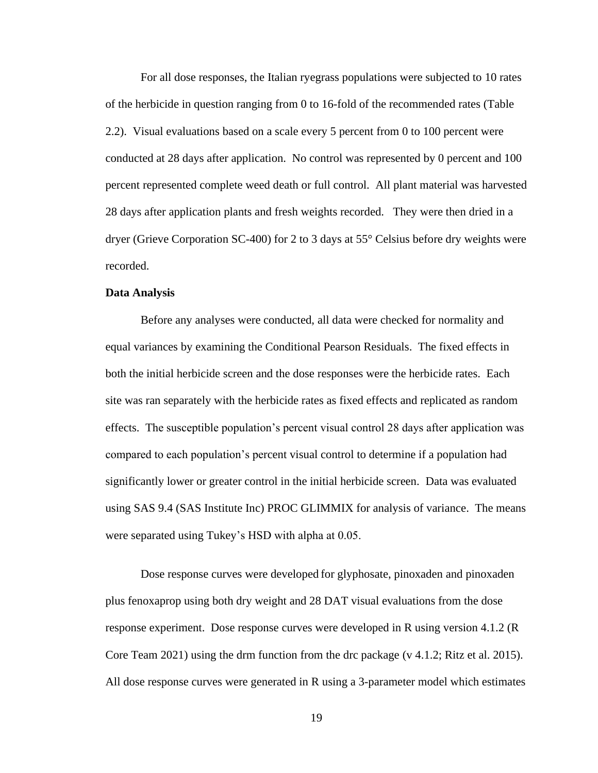For all dose responses, the Italian ryegrass populations were subjected to 10 rates of the herbicide in question ranging from 0 to 16-fold of the recommended rates (Table 2.2). Visual evaluations based on a scale every 5 percent from 0 to 100 percent were conducted at 28 days after application. No control was represented by 0 percent and 100 percent represented complete weed death or full control. All plant material was harvested 28 days after application plants and fresh weights recorded. They were then dried in a dryer (Grieve Corporation SC-400) for 2 to 3 days at 55° Celsius before dry weights were recorded.

#### **Data Analysis**

Before any analyses were conducted, all data were checked for normality and equal variances by examining the Conditional Pearson Residuals. The fixed effects in both the initial herbicide screen and the dose responses were the herbicide rates. Each site was ran separately with the herbicide rates as fixed effects and replicated as random effects. The susceptible population's percent visual control 28 days after application was compared to each population's percent visual control to determine if a population had significantly lower or greater control in the initial herbicide screen. Data was evaluated using SAS 9.4 (SAS Institute Inc) PROC GLIMMIX for analysis of variance. The means were separated using Tukey's HSD with alpha at 0.05.

Dose response curves were developed for glyphosate, pinoxaden and pinoxaden plus fenoxaprop using both dry weight and 28 DAT visual evaluations from the dose response experiment. Dose response curves were developed in R using version 4.1.2 (R Core Team 2021) using the drm function from the drc package (v 4.1.2; Ritz et al. 2015). All dose response curves were generated in R using a 3-parameter model which estimates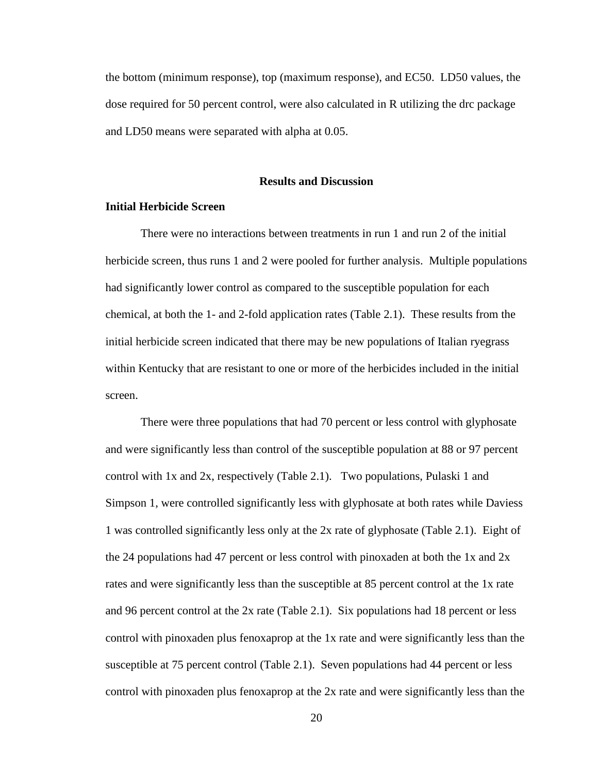the bottom (minimum response), top (maximum response), and EC50. LD50 values, the dose required for 50 percent control, were also calculated in R utilizing the drc package and LD50 means were separated with alpha at 0.05.

#### **Results and Discussion**

#### **Initial Herbicide Screen**

There were no interactions between treatments in run 1 and run 2 of the initial herbicide screen, thus runs 1 and 2 were pooled for further analysis. Multiple populations had significantly lower control as compared to the susceptible population for each chemical, at both the 1- and 2-fold application rates (Table 2.1). These results from the initial herbicide screen indicated that there may be new populations of Italian ryegrass within Kentucky that are resistant to one or more of the herbicides included in the initial screen.

There were three populations that had 70 percent or less control with glyphosate and were significantly less than control of the susceptible population at 88 or 97 percent control with 1x and 2x, respectively (Table 2.1). Two populations, Pulaski 1 and Simpson 1, were controlled significantly less with glyphosate at both rates while Daviess 1 was controlled significantly less only at the 2x rate of glyphosate (Table 2.1). Eight of the 24 populations had 47 percent or less control with pinoxaden at both the 1x and 2x rates and were significantly less than the susceptible at 85 percent control at the 1x rate and 96 percent control at the 2x rate (Table 2.1). Six populations had 18 percent or less control with pinoxaden plus fenoxaprop at the 1x rate and were significantly less than the susceptible at 75 percent control (Table 2.1). Seven populations had 44 percent or less control with pinoxaden plus fenoxaprop at the 2x rate and were significantly less than the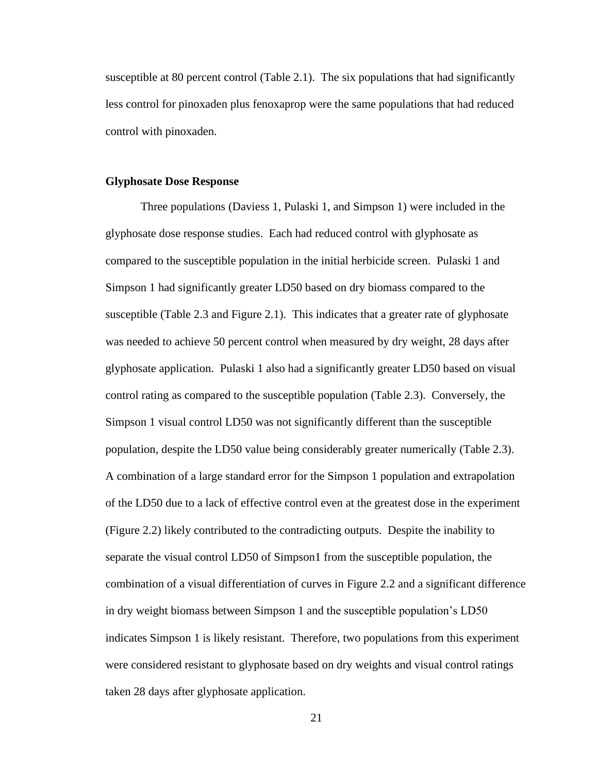susceptible at 80 percent control (Table 2.1). The six populations that had significantly less control for pinoxaden plus fenoxaprop were the same populations that had reduced control with pinoxaden.

#### **Glyphosate Dose Response**

Three populations (Daviess 1, Pulaski 1, and Simpson 1) were included in the glyphosate dose response studies. Each had reduced control with glyphosate as compared to the susceptible population in the initial herbicide screen. Pulaski 1 and Simpson 1 had significantly greater LD50 based on dry biomass compared to the susceptible (Table 2.3 and Figure 2.1). This indicates that a greater rate of glyphosate was needed to achieve 50 percent control when measured by dry weight, 28 days after glyphosate application. Pulaski 1 also had a significantly greater LD50 based on visual control rating as compared to the susceptible population (Table 2.3). Conversely, the Simpson 1 visual control LD50 was not significantly different than the susceptible population, despite the LD50 value being considerably greater numerically (Table 2.3). A combination of a large standard error for the Simpson 1 population and extrapolation of the LD50 due to a lack of effective control even at the greatest dose in the experiment (Figure 2.2) likely contributed to the contradicting outputs. Despite the inability to separate the visual control LD50 of Simpson1 from the susceptible population, the combination of a visual differentiation of curves in Figure 2.2 and a significant difference in dry weight biomass between Simpson 1 and the susceptible population's LD50 indicates Simpson 1 is likely resistant. Therefore, two populations from this experiment were considered resistant to glyphosate based on dry weights and visual control ratings taken 28 days after glyphosate application.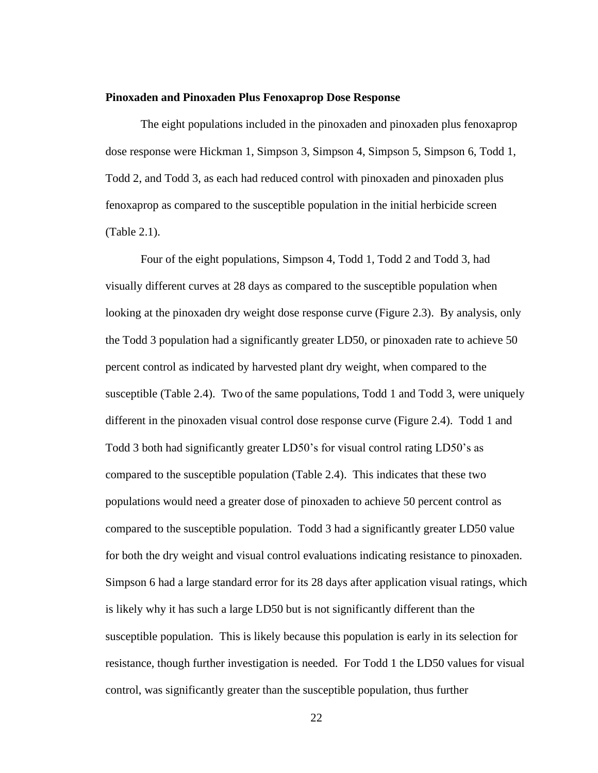#### **Pinoxaden and Pinoxaden Plus Fenoxaprop Dose Response**

The eight populations included in the pinoxaden and pinoxaden plus fenoxaprop dose response were Hickman 1, Simpson 3, Simpson 4, Simpson 5, Simpson 6, Todd 1, Todd 2, and Todd 3, as each had reduced control with pinoxaden and pinoxaden plus fenoxaprop as compared to the susceptible population in the initial herbicide screen (Table 2.1).

Four of the eight populations, Simpson 4, Todd 1, Todd 2 and Todd 3, had visually different curves at 28 days as compared to the susceptible population when looking at the pinoxaden dry weight dose response curve (Figure 2.3). By analysis, only the Todd 3 population had a significantly greater LD50, or pinoxaden rate to achieve 50 percent control as indicated by harvested plant dry weight, when compared to the susceptible (Table 2.4). Two of the same populations, Todd 1 and Todd 3, were uniquely different in the pinoxaden visual control dose response curve (Figure 2.4). Todd 1 and Todd 3 both had significantly greater LD50's for visual control rating LD50's as compared to the susceptible population (Table 2.4). This indicates that these two populations would need a greater dose of pinoxaden to achieve 50 percent control as compared to the susceptible population. Todd 3 had a significantly greater LD50 value for both the dry weight and visual control evaluations indicating resistance to pinoxaden. Simpson 6 had a large standard error for its 28 days after application visual ratings, which is likely why it has such a large LD50 but is not significantly different than the susceptible population. This is likely because this population is early in its selection for resistance, though further investigation is needed. For Todd 1 the LD50 values for visual control, was significantly greater than the susceptible population, thus further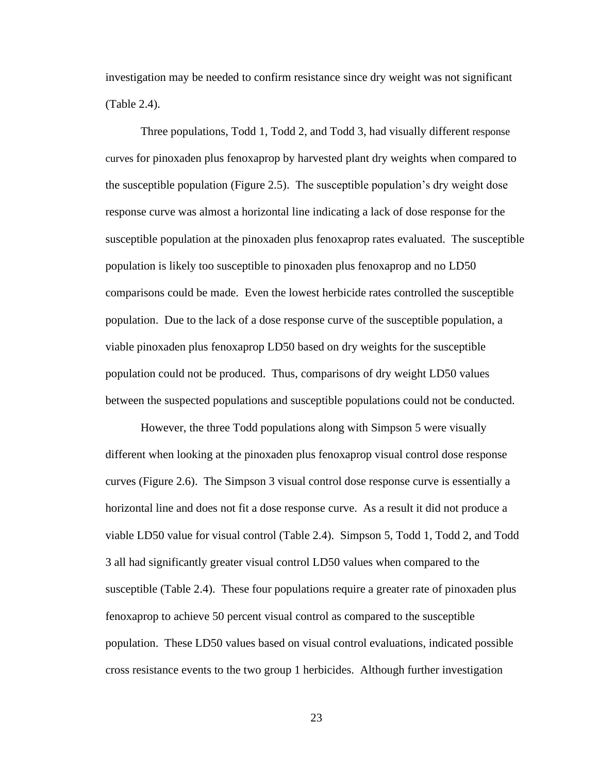investigation may be needed to confirm resistance since dry weight was not significant (Table 2.4).

Three populations, Todd 1, Todd 2, and Todd 3, had visually different response curves for pinoxaden plus fenoxaprop by harvested plant dry weights when compared to the susceptible population (Figure 2.5). The susceptible population's dry weight dose response curve was almost a horizontal line indicating a lack of dose response for the susceptible population at the pinoxaden plus fenoxaprop rates evaluated. The susceptible population is likely too susceptible to pinoxaden plus fenoxaprop and no LD50 comparisons could be made. Even the lowest herbicide rates controlled the susceptible population. Due to the lack of a dose response curve of the susceptible population, a viable pinoxaden plus fenoxaprop LD50 based on dry weights for the susceptible population could not be produced. Thus, comparisons of dry weight LD50 values between the suspected populations and susceptible populations could not be conducted.

However, the three Todd populations along with Simpson 5 were visually different when looking at the pinoxaden plus fenoxaprop visual control dose response curves (Figure 2.6). The Simpson 3 visual control dose response curve is essentially a horizontal line and does not fit a dose response curve. As a result it did not produce a viable LD50 value for visual control (Table 2.4). Simpson 5, Todd 1, Todd 2, and Todd 3 all had significantly greater visual control LD50 values when compared to the susceptible (Table 2.4). These four populations require a greater rate of pinoxaden plus fenoxaprop to achieve 50 percent visual control as compared to the susceptible population. These LD50 values based on visual control evaluations, indicated possible cross resistance events to the two group 1 herbicides. Although further investigation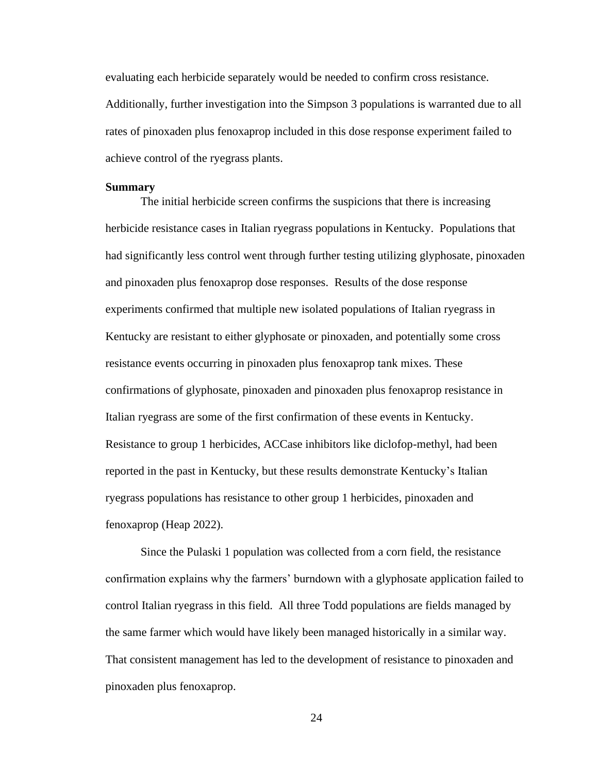evaluating each herbicide separately would be needed to confirm cross resistance. Additionally, further investigation into the Simpson 3 populations is warranted due to all rates of pinoxaden plus fenoxaprop included in this dose response experiment failed to achieve control of the ryegrass plants.

#### **Summary**

The initial herbicide screen confirms the suspicions that there is increasing herbicide resistance cases in Italian ryegrass populations in Kentucky. Populations that had significantly less control went through further testing utilizing glyphosate, pinoxaden and pinoxaden plus fenoxaprop dose responses. Results of the dose response experiments confirmed that multiple new isolated populations of Italian ryegrass in Kentucky are resistant to either glyphosate or pinoxaden, and potentially some cross resistance events occurring in pinoxaden plus fenoxaprop tank mixes. These confirmations of glyphosate, pinoxaden and pinoxaden plus fenoxaprop resistance in Italian ryegrass are some of the first confirmation of these events in Kentucky. Resistance to group 1 herbicides, ACCase inhibitors like diclofop-methyl, had been reported in the past in Kentucky, but these results demonstrate Kentucky's Italian ryegrass populations has resistance to other group 1 herbicides, pinoxaden and fenoxaprop (Heap 2022).

Since the Pulaski 1 population was collected from a corn field, the resistance confirmation explains why the farmers' burndown with a glyphosate application failed to control Italian ryegrass in this field. All three Todd populations are fields managed by the same farmer which would have likely been managed historically in a similar way. That consistent management has led to the development of resistance to pinoxaden and pinoxaden plus fenoxaprop.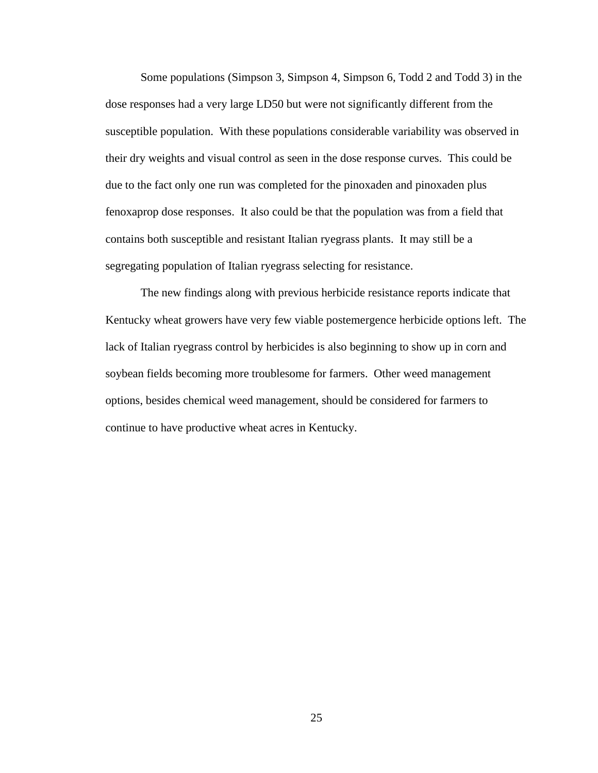Some populations (Simpson 3, Simpson 4, Simpson 6, Todd 2 and Todd 3) in the dose responses had a very large LD50 but were not significantly different from the susceptible population. With these populations considerable variability was observed in their dry weights and visual control as seen in the dose response curves. This could be due to the fact only one run was completed for the pinoxaden and pinoxaden plus fenoxaprop dose responses. It also could be that the population was from a field that contains both susceptible and resistant Italian ryegrass plants. It may still be a segregating population of Italian ryegrass selecting for resistance.

The new findings along with previous herbicide resistance reports indicate that Kentucky wheat growers have very few viable postemergence herbicide options left. The lack of Italian ryegrass control by herbicides is also beginning to show up in corn and soybean fields becoming more troublesome for farmers. Other weed management options, besides chemical weed management, should be considered for farmers to continue to have productive wheat acres in Kentucky.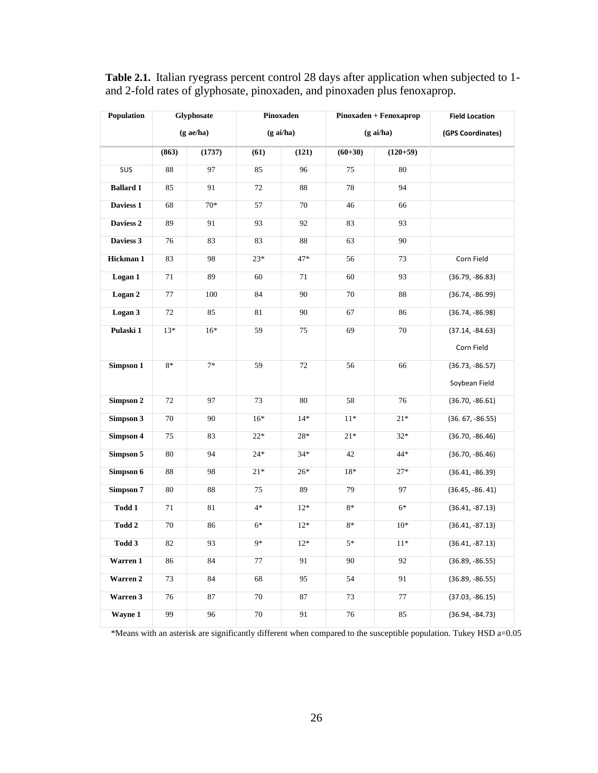**Table 2.1.** Italian ryegrass percent control 28 days after application when subjected to 1 and 2-fold rates of glyphosate, pinoxaden, and pinoxaden plus fenoxaprop.

| Population       |        | Glyphosate | Pinoxaden<br>Pinoxaden + Fenoxaprop |        | <b>Field Location</b> |            |                                    |
|------------------|--------|------------|-------------------------------------|--------|-----------------------|------------|------------------------------------|
|                  |        | (gae/ha)   | $(g \text{ ai/ha})$                 |        | $(g \text{ ai/ha})$   |            | (GPS Coordinates)                  |
|                  | (863)  | (1737)     | (61)                                | (121)  | $(60+30)$             | $(120+59)$ |                                    |
| SUS              | 88     | 97         | 85                                  | 96     | 75                    | $80\,$     |                                    |
| <b>Ballard 1</b> | 85     | 91         | 72                                  | 88     | 78                    | 94         |                                    |
| Daviess 1        | 68     | $70*$      | 57                                  | 70     | 46                    | 66         |                                    |
| Daviess 2        | 89     | 91         | 93                                  | 92     | 83                    | 93         |                                    |
| Daviess 3        | 76     | 83         | 83                                  | 88     | 63                    | 90         |                                    |
| Hickman 1        | 83     | 98         | $23*$                               | 47*    | 56                    | 73         | Corn Field                         |
| Logan 1          | $71\,$ | 89         | 60                                  | $71\,$ | $60\,$                | 93         | $(36.79, -86.83)$                  |
| Logan 2          | 77     | 100        | 84                                  | 90     | $70\,$                | 88         | $(36.74, -86.99)$                  |
| Logan 3          | 72     | 85         | 81                                  | 90     | 67                    | 86         | $(36.74, -86.98)$                  |
| Pulaski 1        | $13*$  | $16*$      | 59                                  | 75     | 69                    | $70\,$     | $(37.14, -84.63)$<br>Corn Field    |
| Simpson 1        | 8*     | $7*$       | 59                                  | 72     | 56                    | 66         | $(36.73, -86.57)$<br>Soybean Field |
| Simpson 2        | 72     | 97         | 73                                  | 80     | 58                    | 76         | $(36.70, -86.61)$                  |
| Simpson 3        | $70\,$ | $90\,$     | $16*$                               | $14*$  | $11^{\ast}$           | $21*$      | $(36.67, -86.55)$                  |
| Simpson 4        | 75     | 83         | $22*$                               | $28*$  | $21*$                 | $32*$      | $(36.70, -86.46)$                  |
| Simpson 5        | 80     | 94         | $24*$                               | $34*$  | 42                    | 44*        | $(36.70, -86.46)$                  |
| Simpson 6        | 88     | 98         | $21*$                               | $26*$  | $18*$                 | $27*$      | $(36.41, -86.39)$                  |
| Simpson 7        | 80     | 88         | 75                                  | 89     | 79                    | 97         | $(36.45, -86, 41)$                 |
| Todd 1           | $71\,$ | $81\,$     | $4*$                                | $12*$  | $8*$                  | $6*$       | $(36.41, -87.13)$                  |
| Todd 2           | 70     | 86         | $6*$                                | $12*$  | $8*$                  | $10*$      | $(36.41, -87.13)$                  |
| Todd 3           | 82     | 93         | $9*$                                | $12*$  | $5*$                  | $11*$      | $(36.41, -87.13)$                  |
| Warren 1         | 86     | 84         | 77                                  | 91     | 90                    | 92         | $(36.89, -86.55)$                  |
| Warren 2         | 73     | 84         | 68                                  | 95     | 54                    | 91         | $(36.89, -86.55)$                  |
| Warren 3         | 76     | 87         | $70\,$                              | 87     | 73                    | 77         | $(37.03, -86.15)$                  |
| Wayne 1          | 99     | 96         | $70\,$                              | 91     | 76                    | 85         | $(36.94, -84.73)$                  |

\*Means with an asterisk are significantly different when compared to the susceptible population. Tukey HSD a=0.05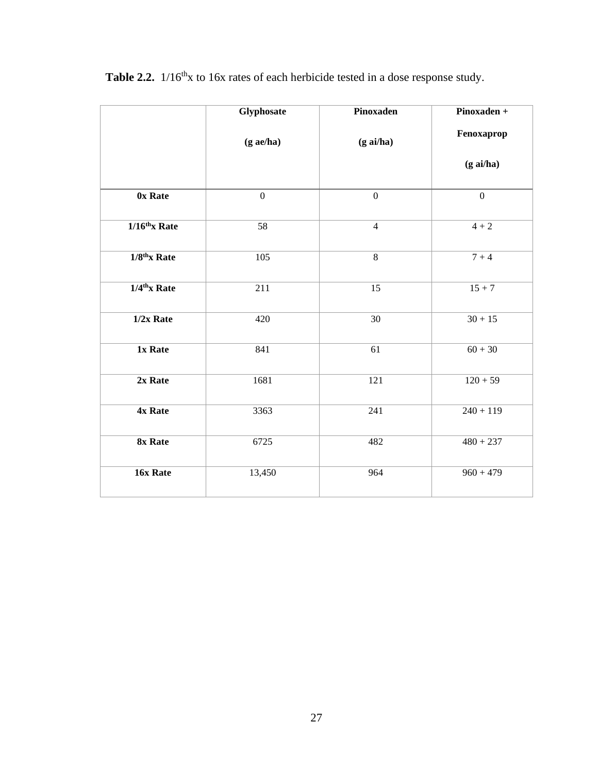|                             | Glyphosate       | <b>Pinoxaden</b>    | Pinoxaden +      |
|-----------------------------|------------------|---------------------|------------------|
|                             | (gae/ha)         | $(g \text{ ai/ha})$ | Fenoxaprop       |
|                             |                  |                     | $(g\ ai/ha)$     |
| 0x Rate                     | $\boldsymbol{0}$ | $\boldsymbol{0}$    | $\boldsymbol{0}$ |
| $1/16$ <sup>th</sup> x Rate | 58               | $\overline{4}$      | $4 + 2$          |
| $1/8$ <sup>th</sup> x Rate  | 105              | 8                   | $7 + 4$          |
| $1/4$ <sup>th</sup> x Rate  | 211              | 15                  | $15 + 7$         |
| $1/2x$ Rate                 | 420              | 30                  | $30 + 15$        |
| 1x Rate                     | 841              | 61                  | $60 + 30$        |
| 2x Rate                     | 1681             | 121                 | $120 + 59$       |
| 4x Rate                     | 3363             | 241                 | $240 + 119$      |
| 8x Rate                     | 6725             | 482                 | $480 + 237$      |
| 16x Rate                    | 13,450           | 964                 | $960 + 479$      |

**Table 2.2.**  $1/16^{\text{th}}x$  to 16x rates of each herbicide tested in a dose response study.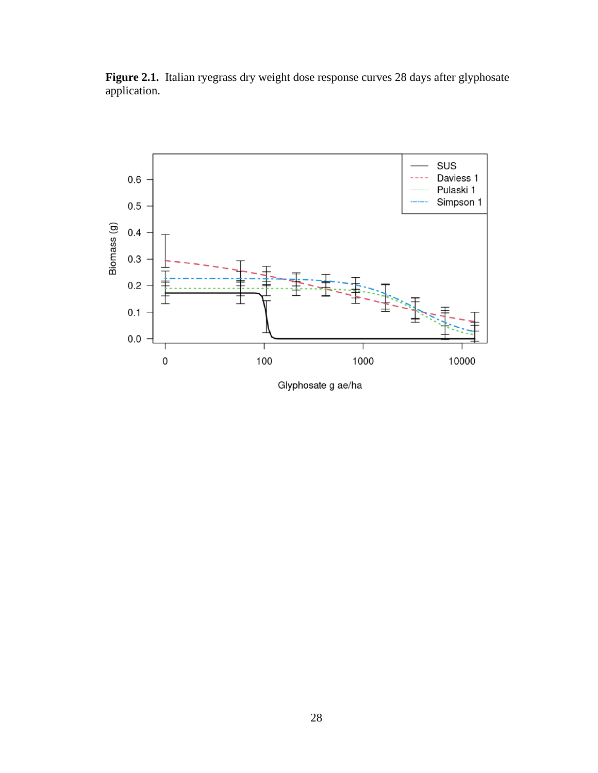



Glyphosate g ae/ha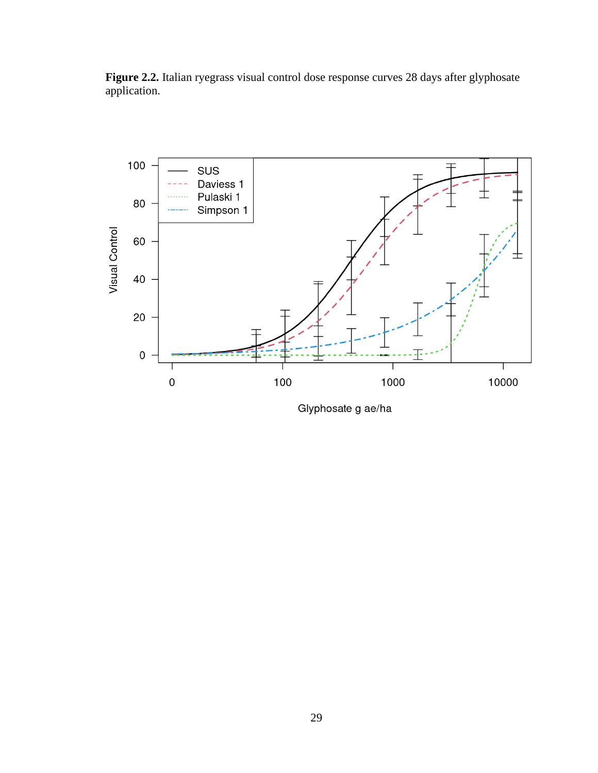**Figure 2.2.** Italian ryegrass visual control dose response curves 28 days after glyphosate application.



Glyphosate g ae/ha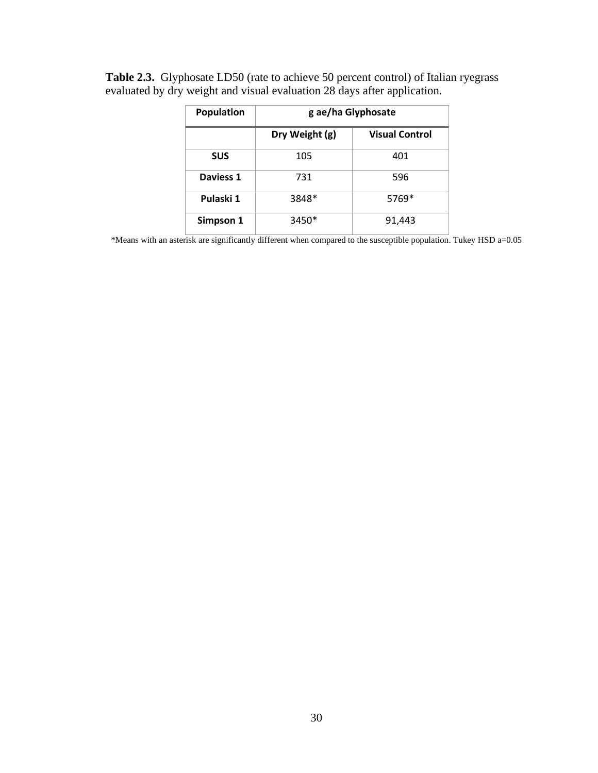| Population | g ae/ha Glyphosate |                       |  |  |
|------------|--------------------|-----------------------|--|--|
|            | Dry Weight (g)     | <b>Visual Control</b> |  |  |
| <b>SUS</b> | 105                | 401                   |  |  |
| Daviess 1  | 731                | 596                   |  |  |
| Pulaski 1  | 3848*              | 5769*                 |  |  |
| Simpson 1  | 3450*              | 91,443                |  |  |

**Table 2.3.** Glyphosate LD50 (rate to achieve 50 percent control) of Italian ryegrass evaluated by dry weight and visual evaluation 28 days after application.

\*Means with an asterisk are significantly different when compared to the susceptible population. Tukey HSD a=0.05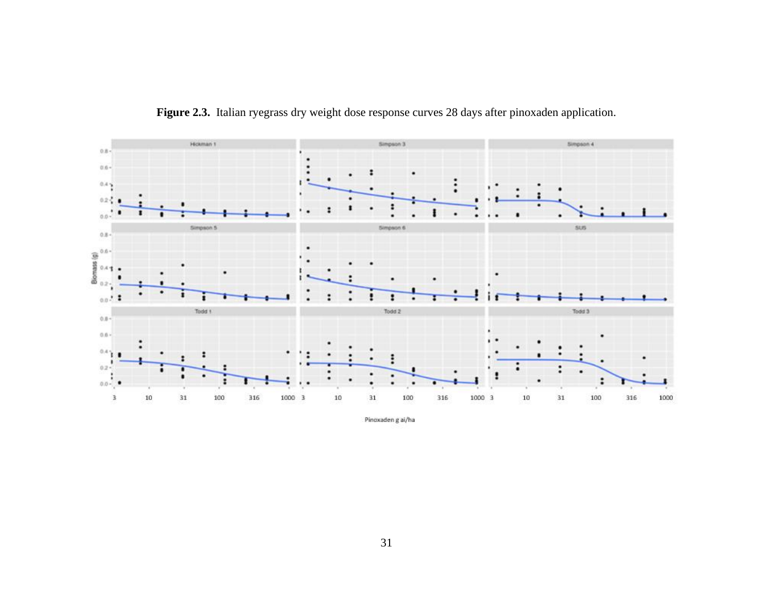

**Figure 2.3.** Italian ryegrass dry weight dose response curves 28 days after pinoxaden application.

Pinoxaden g ai/ha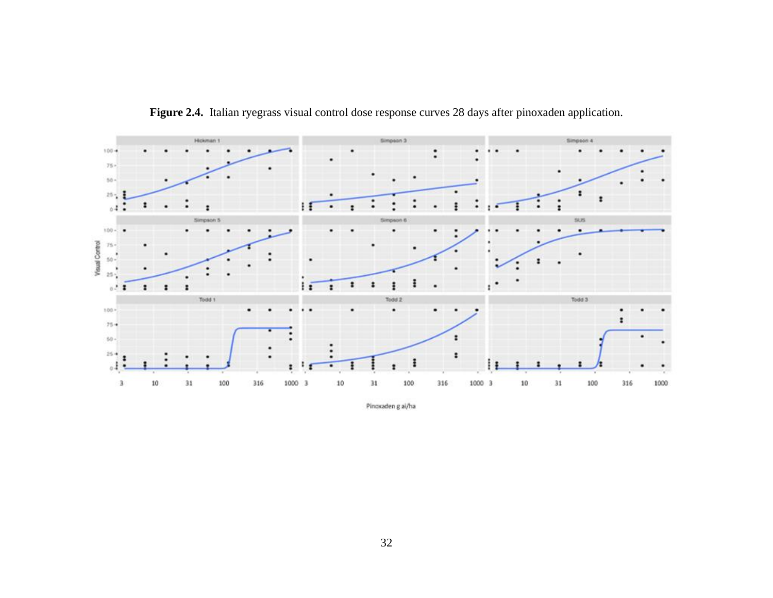

**Figure 2.4.** Italian ryegrass visual control dose response curves 28 days after pinoxaden application.

Pinoxaden g ai/ha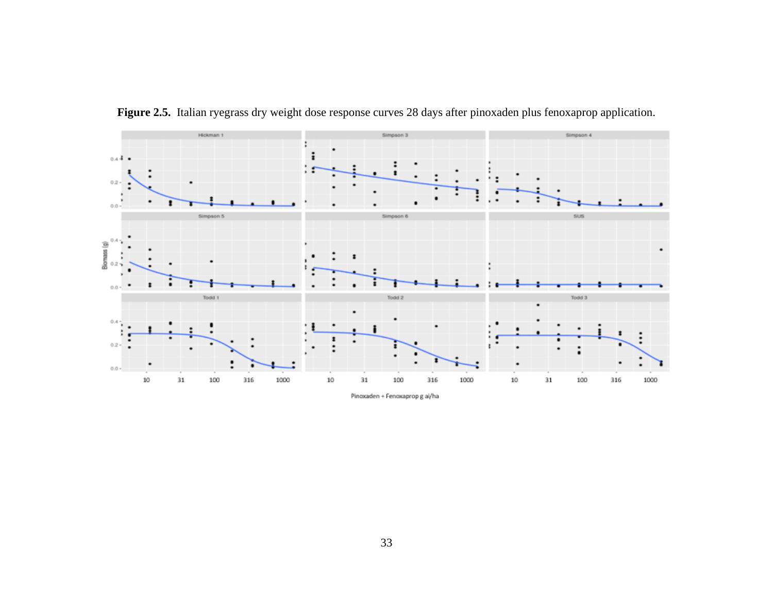

**Figure 2.5.** Italian ryegrass dry weight dose response curves 28 days after pinoxaden plus fenoxaprop application.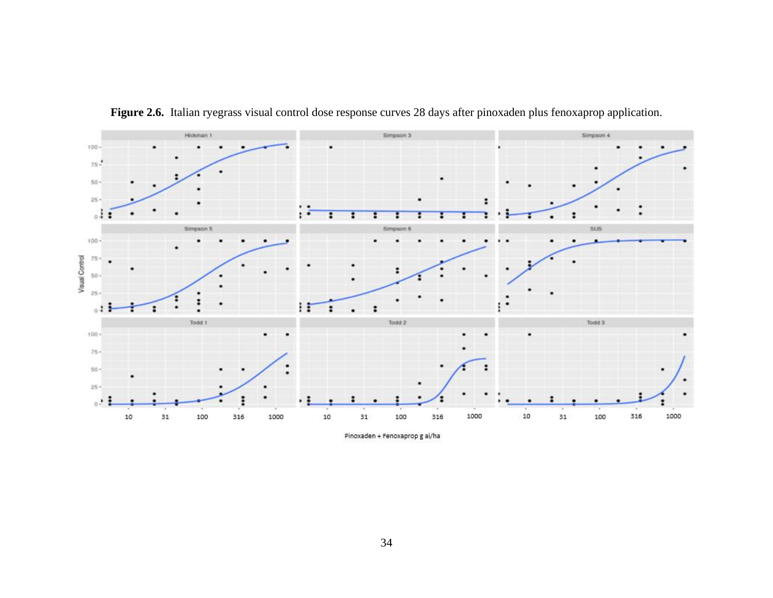

**Figure 2.6.** Italian ryegrass visual control dose response curves 28 days after pinoxaden plus fenoxaprop application.

Pinoxaden + Fenoxaprop g ai/ha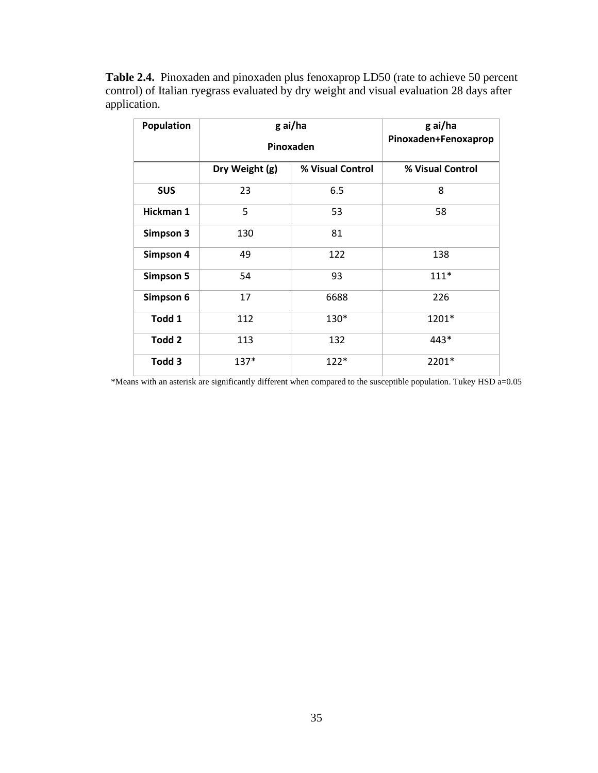**Table 2.4.** Pinoxaden and pinoxaden plus fenoxaprop LD50 (rate to achieve 50 percent control) of Italian ryegrass evaluated by dry weight and visual evaluation 28 days after application.

| <b>Population</b> | g ai/ha<br>Pinoxaden               |        | g ai/ha<br>Pinoxaden+Fenoxaprop |
|-------------------|------------------------------------|--------|---------------------------------|
|                   | % Visual Control<br>Dry Weight (g) |        | % Visual Control                |
| <b>SUS</b>        | 23                                 | 6.5    | 8                               |
| Hickman 1         | 5                                  | 53     | 58                              |
| Simpson 3         | 130                                | 81     |                                 |
| Simpson 4         | 49                                 | 122    | 138                             |
| Simpson 5         | 54                                 | 93     | $111*$                          |
| Simpson 6         | 17                                 | 6688   | 226                             |
| Todd 1            | 112                                | 130*   | 1201*                           |
| Todd 2            | 113                                | 132    | 443*                            |
| Todd 3            | $137*$                             | $122*$ | 2201*                           |

\*Means with an asterisk are significantly different when compared to the susceptible population. Tukey HSD a=0.05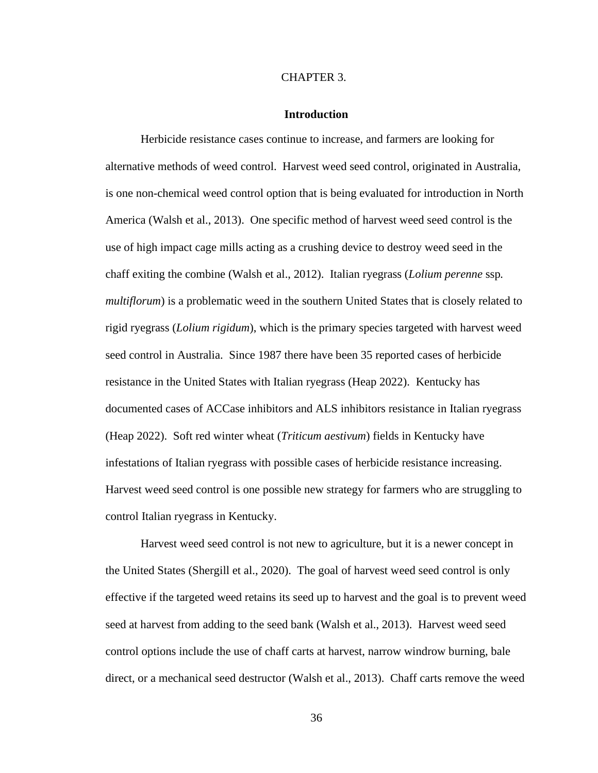#### CHAPTER 3.

#### **Introduction**

Herbicide resistance cases continue to increase, and farmers are looking for alternative methods of weed control. Harvest weed seed control, originated in Australia, is one non-chemical weed control option that is being evaluated for introduction in North America (Walsh et al., 2013). One specific method of harvest weed seed control is the use of high impact cage mills acting as a crushing device to destroy weed seed in the chaff exiting the combine (Walsh et al., 2012). Italian ryegrass (*Lolium perenne* ssp*. multiflorum*) is a problematic weed in the southern United States that is closely related to rigid ryegrass (*Lolium rigidum*), which is the primary species targeted with harvest weed seed control in Australia. Since 1987 there have been 35 reported cases of herbicide resistance in the United States with Italian ryegrass (Heap 2022). Kentucky has documented cases of ACCase inhibitors and ALS inhibitors resistance in Italian ryegrass (Heap 2022). Soft red winter wheat (*Triticum aestivum*) fields in Kentucky have infestations of Italian ryegrass with possible cases of herbicide resistance increasing. Harvest weed seed control is one possible new strategy for farmers who are struggling to control Italian ryegrass in Kentucky.

Harvest weed seed control is not new to agriculture, but it is a newer concept in the United States (Shergill et al., 2020). The goal of harvest weed seed control is only effective if the targeted weed retains its seed up to harvest and the goal is to prevent weed seed at harvest from adding to the seed bank (Walsh et al., 2013). Harvest weed seed control options include the use of chaff carts at harvest, narrow windrow burning, bale direct, or a mechanical seed destructor (Walsh et al., 2013). Chaff carts remove the weed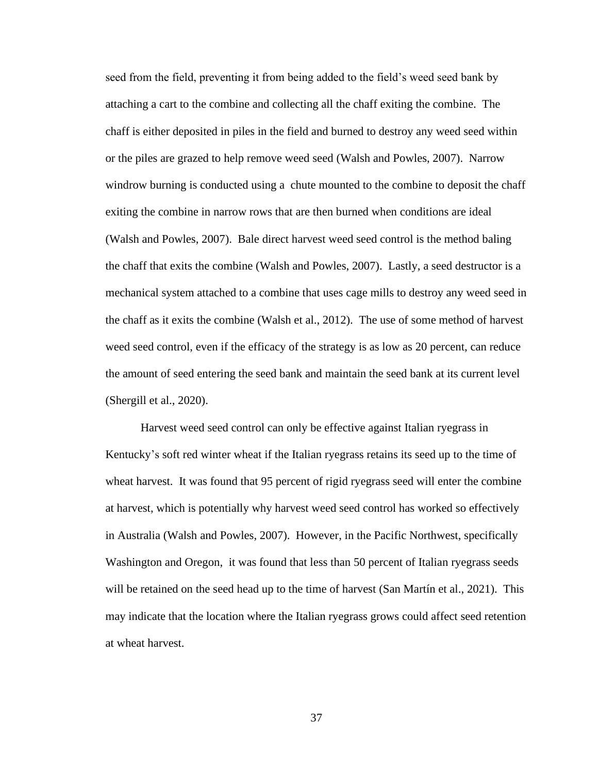seed from the field, preventing it from being added to the field's weed seed bank by attaching a cart to the combine and collecting all the chaff exiting the combine. The chaff is either deposited in piles in the field and burned to destroy any weed seed within or the piles are grazed to help remove weed seed (Walsh and Powles, 2007). Narrow windrow burning is conducted using a chute mounted to the combine to deposit the chaff exiting the combine in narrow rows that are then burned when conditions are ideal (Walsh and Powles, 2007). Bale direct harvest weed seed control is the method baling the chaff that exits the combine (Walsh and Powles, 2007). Lastly, a seed destructor is a mechanical system attached to a combine that uses cage mills to destroy any weed seed in the chaff as it exits the combine (Walsh et al., 2012). The use of some method of harvest weed seed control, even if the efficacy of the strategy is as low as 20 percent, can reduce the amount of seed entering the seed bank and maintain the seed bank at its current level (Shergill et al., 2020).

Harvest weed seed control can only be effective against Italian ryegrass in Kentucky's soft red winter wheat if the Italian ryegrass retains its seed up to the time of wheat harvest. It was found that 95 percent of rigid ryegrass seed will enter the combine at harvest, which is potentially why harvest weed seed control has worked so effectively in Australia (Walsh and Powles, 2007). However, in the Pacific Northwest, specifically Washington and Oregon, it was found that less than 50 percent of Italian ryegrass seeds will be retained on the seed head up to the time of harvest (San Martín et al., 2021). This may indicate that the location where the Italian ryegrass grows could affect seed retention at wheat harvest.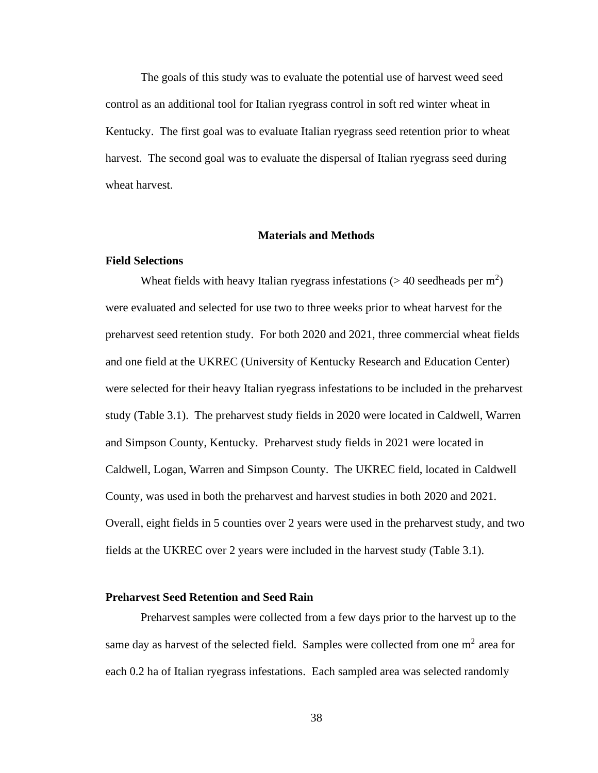The goals of this study was to evaluate the potential use of harvest weed seed control as an additional tool for Italian ryegrass control in soft red winter wheat in Kentucky. The first goal was to evaluate Italian ryegrass seed retention prior to wheat harvest. The second goal was to evaluate the dispersal of Italian ryegrass seed during wheat harvest.

#### **Materials and Methods**

#### **Field Selections**

Wheat fields with heavy Italian ryegrass infestations ( $> 40$  seedheads per m<sup>2</sup>) were evaluated and selected for use two to three weeks prior to wheat harvest for the preharvest seed retention study. For both 2020 and 2021, three commercial wheat fields and one field at the UKREC (University of Kentucky Research and Education Center) were selected for their heavy Italian ryegrass infestations to be included in the preharvest study (Table 3.1). The preharvest study fields in 2020 were located in Caldwell, Warren and Simpson County, Kentucky. Preharvest study fields in 2021 were located in Caldwell, Logan, Warren and Simpson County. The UKREC field, located in Caldwell County, was used in both the preharvest and harvest studies in both 2020 and 2021. Overall, eight fields in 5 counties over 2 years were used in the preharvest study, and two fields at the UKREC over 2 years were included in the harvest study (Table 3.1).

#### **Preharvest Seed Retention and Seed Rain**

Preharvest samples were collected from a few days prior to the harvest up to the same day as harvest of the selected field. Samples were collected from one  $m<sup>2</sup>$  area for each 0.2 ha of Italian ryegrass infestations. Each sampled area was selected randomly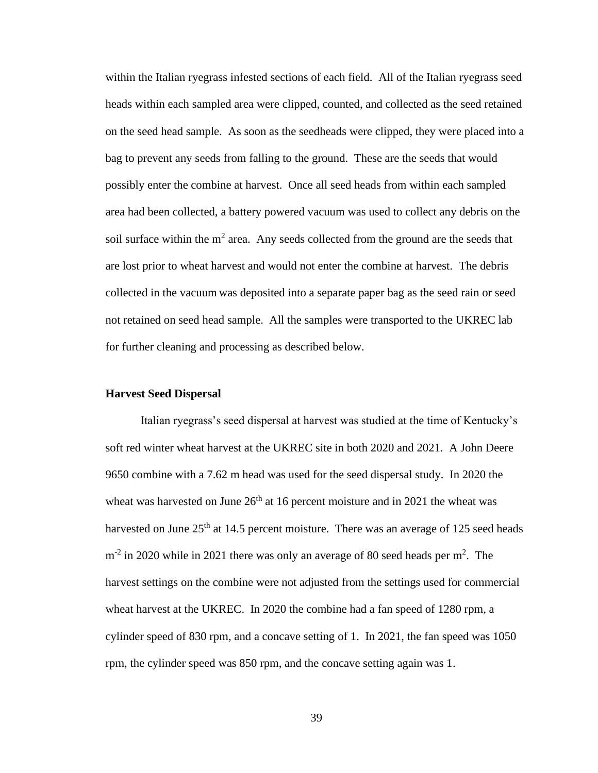within the Italian ryegrass infested sections of each field. All of the Italian ryegrass seed heads within each sampled area were clipped, counted, and collected as the seed retained on the seed head sample. As soon as the seedheads were clipped, they were placed into a bag to prevent any seeds from falling to the ground. These are the seeds that would possibly enter the combine at harvest. Once all seed heads from within each sampled area had been collected, a battery powered vacuum was used to collect any debris on the soil surface within the  $m^2$  area. Any seeds collected from the ground are the seeds that are lost prior to wheat harvest and would not enter the combine at harvest. The debris collected in the vacuum was deposited into a separate paper bag as the seed rain or seed not retained on seed head sample. All the samples were transported to the UKREC lab for further cleaning and processing as described below.

#### **Harvest Seed Dispersal**

Italian ryegrass's seed dispersal at harvest was studied at the time of Kentucky's soft red winter wheat harvest at the UKREC site in both 2020 and 2021. A John Deere 9650 combine with a 7.62 m head was used for the seed dispersal study. In 2020 the wheat was harvested on June  $26<sup>th</sup>$  at 16 percent moisture and in 2021 the wheat was harvested on June  $25<sup>th</sup>$  at 14.5 percent moisture. There was an average of 125 seed heads  $m<sup>-2</sup>$  in 2020 while in 2021 there was only an average of 80 seed heads per  $m<sup>2</sup>$ . The harvest settings on the combine were not adjusted from the settings used for commercial wheat harvest at the UKREC. In 2020 the combine had a fan speed of 1280 rpm, a cylinder speed of 830 rpm, and a concave setting of 1. In 2021, the fan speed was 1050 rpm, the cylinder speed was 850 rpm, and the concave setting again was 1.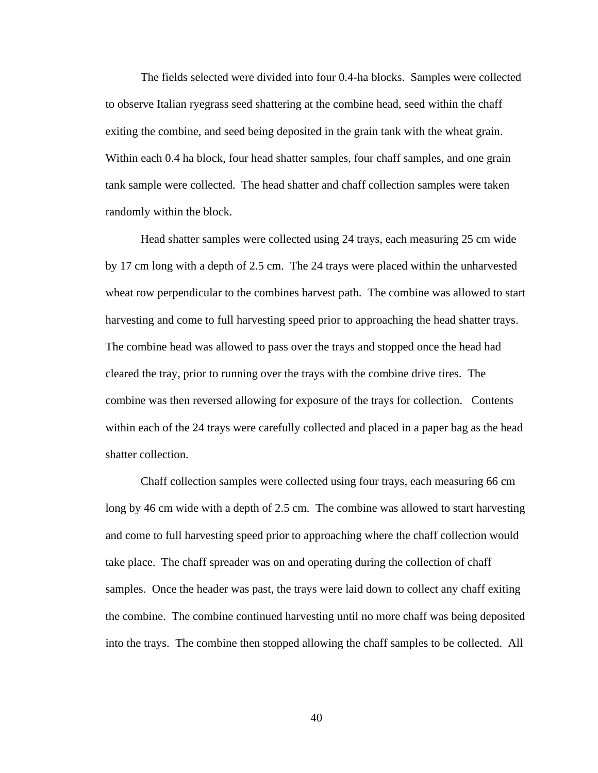The fields selected were divided into four 0.4-ha blocks. Samples were collected to observe Italian ryegrass seed shattering at the combine head, seed within the chaff exiting the combine, and seed being deposited in the grain tank with the wheat grain. Within each 0.4 ha block, four head shatter samples, four chaff samples, and one grain tank sample were collected. The head shatter and chaff collection samples were taken randomly within the block.

Head shatter samples were collected using 24 trays, each measuring 25 cm wide by 17 cm long with a depth of 2.5 cm. The 24 trays were placed within the unharvested wheat row perpendicular to the combines harvest path. The combine was allowed to start harvesting and come to full harvesting speed prior to approaching the head shatter trays. The combine head was allowed to pass over the trays and stopped once the head had cleared the tray, prior to running over the trays with the combine drive tires. The combine was then reversed allowing for exposure of the trays for collection. Contents within each of the 24 trays were carefully collected and placed in a paper bag as the head shatter collection.

Chaff collection samples were collected using four trays, each measuring 66 cm long by 46 cm wide with a depth of 2.5 cm. The combine was allowed to start harvesting and come to full harvesting speed prior to approaching where the chaff collection would take place. The chaff spreader was on and operating during the collection of chaff samples. Once the header was past, the trays were laid down to collect any chaff exiting the combine. The combine continued harvesting until no more chaff was being deposited into the trays. The combine then stopped allowing the chaff samples to be collected. All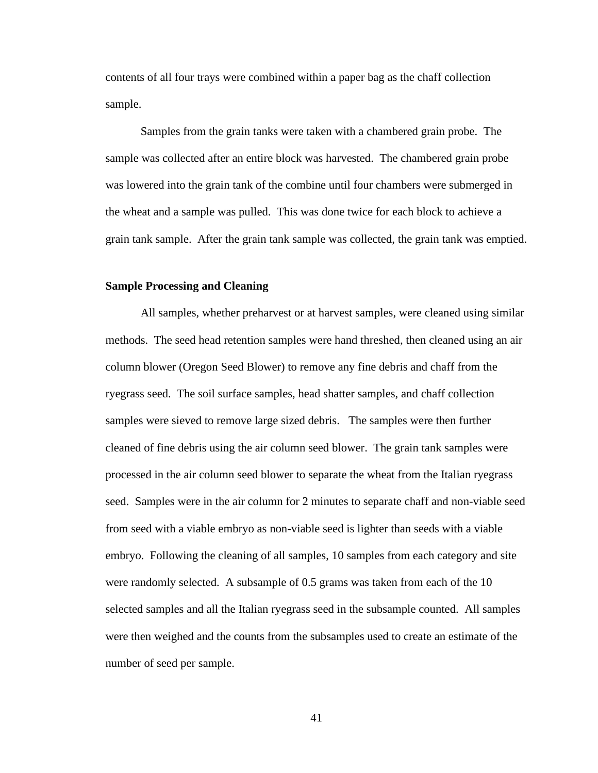contents of all four trays were combined within a paper bag as the chaff collection sample.

Samples from the grain tanks were taken with a chambered grain probe. The sample was collected after an entire block was harvested. The chambered grain probe was lowered into the grain tank of the combine until four chambers were submerged in the wheat and a sample was pulled. This was done twice for each block to achieve a grain tank sample. After the grain tank sample was collected, the grain tank was emptied.

#### **Sample Processing and Cleaning**

All samples, whether preharvest or at harvest samples, were cleaned using similar methods. The seed head retention samples were hand threshed, then cleaned using an air column blower (Oregon Seed Blower) to remove any fine debris and chaff from the ryegrass seed. The soil surface samples, head shatter samples, and chaff collection samples were sieved to remove large sized debris. The samples were then further cleaned of fine debris using the air column seed blower. The grain tank samples were processed in the air column seed blower to separate the wheat from the Italian ryegrass seed. Samples were in the air column for 2 minutes to separate chaff and non-viable seed from seed with a viable embryo as non-viable seed is lighter than seeds with a viable embryo. Following the cleaning of all samples, 10 samples from each category and site were randomly selected. A subsample of 0.5 grams was taken from each of the 10 selected samples and all the Italian ryegrass seed in the subsample counted. All samples were then weighed and the counts from the subsamples used to create an estimate of the number of seed per sample.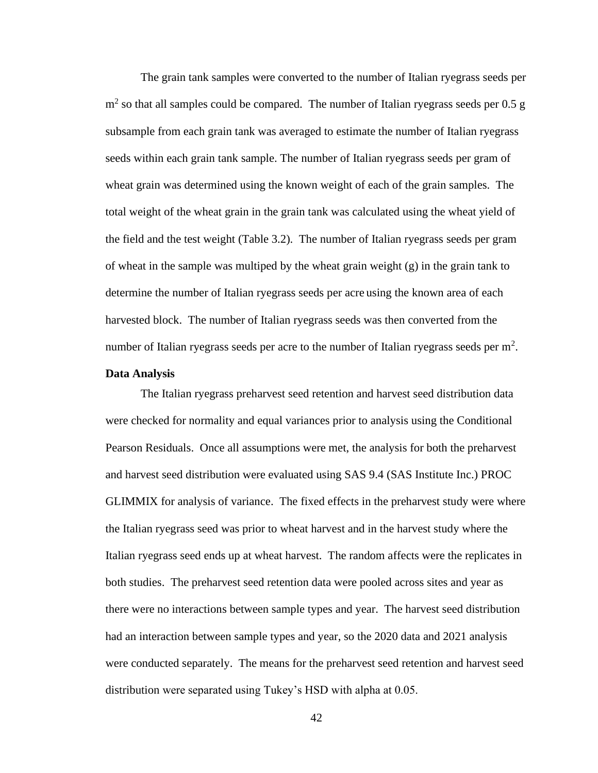The grain tank samples were converted to the number of Italian ryegrass seeds per  $m<sup>2</sup>$  so that all samples could be compared. The number of Italian ryegrass seeds per 0.5 g subsample from each grain tank was averaged to estimate the number of Italian ryegrass seeds within each grain tank sample. The number of Italian ryegrass seeds per gram of wheat grain was determined using the known weight of each of the grain samples. The total weight of the wheat grain in the grain tank was calculated using the wheat yield of the field and the test weight (Table 3.2). The number of Italian ryegrass seeds per gram of wheat in the sample was multiped by the wheat grain weight (g) in the grain tank to determine the number of Italian ryegrass seeds per acre using the known area of each harvested block. The number of Italian ryegrass seeds was then converted from the number of Italian ryegrass seeds per acre to the number of Italian ryegrass seeds per  $m^2$ .

#### **Data Analysis**

The Italian ryegrass preharvest seed retention and harvest seed distribution data were checked for normality and equal variances prior to analysis using the Conditional Pearson Residuals. Once all assumptions were met, the analysis for both the preharvest and harvest seed distribution were evaluated using SAS 9.4 (SAS Institute Inc.) PROC GLIMMIX for analysis of variance. The fixed effects in the preharvest study were where the Italian ryegrass seed was prior to wheat harvest and in the harvest study where the Italian ryegrass seed ends up at wheat harvest. The random affects were the replicates in both studies. The preharvest seed retention data were pooled across sites and year as there were no interactions between sample types and year. The harvest seed distribution had an interaction between sample types and year, so the 2020 data and 2021 analysis were conducted separately. The means for the preharvest seed retention and harvest seed distribution were separated using Tukey's HSD with alpha at 0.05.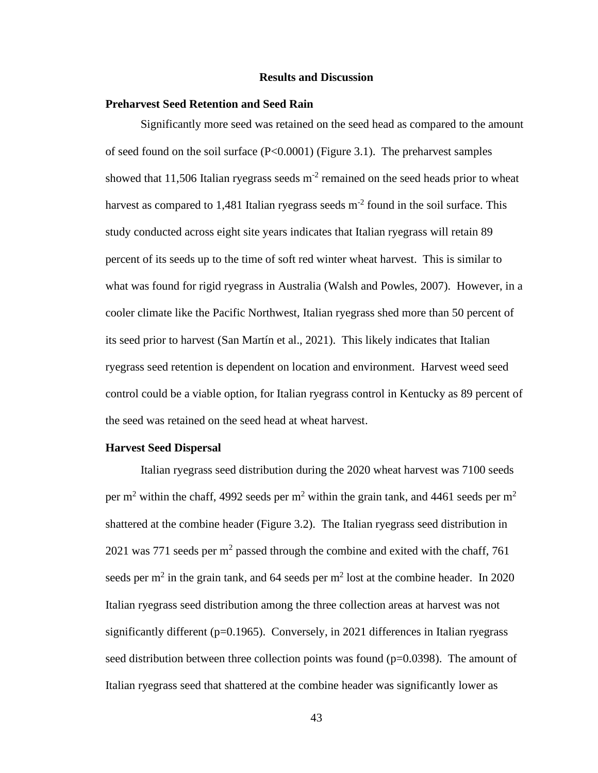#### **Results and Discussion**

#### **Preharvest Seed Retention and Seed Rain**

Significantly more seed was retained on the seed head as compared to the amount of seed found on the soil surface  $(P<0.0001)$  (Figure 3.1). The preharvest samples showed that 11,506 Italian ryegrass seeds  $m<sup>-2</sup>$  remained on the seed heads prior to wheat harvest as compared to 1,481 Italian ryegrass seeds  $m<sup>-2</sup>$  found in the soil surface. This study conducted across eight site years indicates that Italian ryegrass will retain 89 percent of its seeds up to the time of soft red winter wheat harvest. This is similar to what was found for rigid ryegrass in Australia (Walsh and Powles, 2007). However, in a cooler climate like the Pacific Northwest, Italian ryegrass shed more than 50 percent of its seed prior to harvest (San Martín et al., 2021). This likely indicates that Italian ryegrass seed retention is dependent on location and environment. Harvest weed seed control could be a viable option, for Italian ryegrass control in Kentucky as 89 percent of the seed was retained on the seed head at wheat harvest.

#### **Harvest Seed Dispersal**

Italian ryegrass seed distribution during the 2020 wheat harvest was 7100 seeds per m<sup>2</sup> within the chaff, 4992 seeds per m<sup>2</sup> within the grain tank, and 4461 seeds per m<sup>2</sup> shattered at the combine header (Figure 3.2). The Italian ryegrass seed distribution in 2021 was 771 seeds per  $m^2$  passed through the combine and exited with the chaff, 761 seeds per m<sup>2</sup> in the grain tank, and 64 seeds per m<sup>2</sup> lost at the combine header. In 2020 Italian ryegrass seed distribution among the three collection areas at harvest was not significantly different ( $p=0.1965$ ). Conversely, in 2021 differences in Italian ryegrass seed distribution between three collection points was found  $(p=0.0398)$ . The amount of Italian ryegrass seed that shattered at the combine header was significantly lower as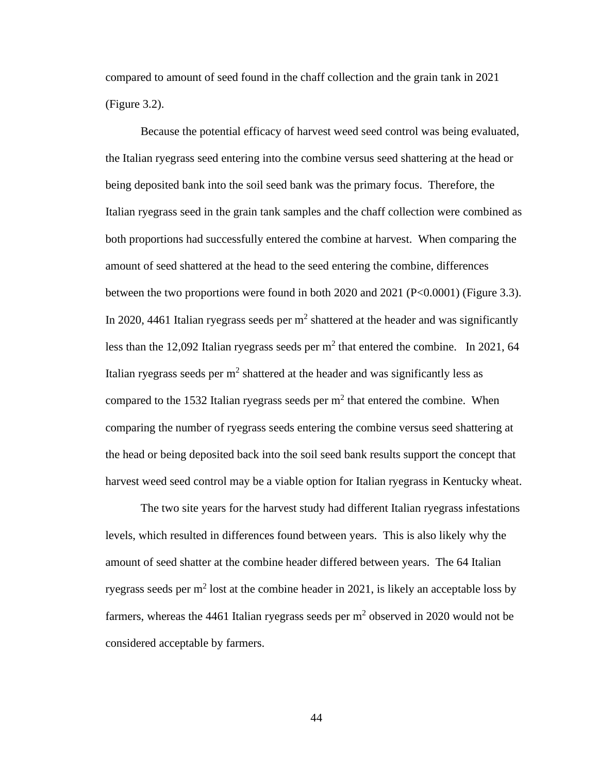compared to amount of seed found in the chaff collection and the grain tank in 2021 (Figure 3.2).

Because the potential efficacy of harvest weed seed control was being evaluated, the Italian ryegrass seed entering into the combine versus seed shattering at the head or being deposited bank into the soil seed bank was the primary focus. Therefore, the Italian ryegrass seed in the grain tank samples and the chaff collection were combined as both proportions had successfully entered the combine at harvest. When comparing the amount of seed shattered at the head to the seed entering the combine, differences between the two proportions were found in both 2020 and 2021 (P<0.0001) (Figure 3.3). In 2020, 4461 Italian ryegrass seeds per  $m<sup>2</sup>$  shattered at the header and was significantly less than the 12,092 Italian ryegrass seeds per  $m<sup>2</sup>$  that entered the combine. In 2021, 64 Italian ryegrass seeds per  $m^2$  shattered at the header and was significantly less as compared to the 1532 Italian ryegrass seeds per  $m<sup>2</sup>$  that entered the combine. When comparing the number of ryegrass seeds entering the combine versus seed shattering at the head or being deposited back into the soil seed bank results support the concept that harvest weed seed control may be a viable option for Italian ryegrass in Kentucky wheat.

The two site years for the harvest study had different Italian ryegrass infestations levels, which resulted in differences found between years. This is also likely why the amount of seed shatter at the combine header differed between years. The 64 Italian ryegrass seeds per  $m^2$  lost at the combine header in 2021, is likely an acceptable loss by farmers, whereas the 4461 Italian ryegrass seeds per  $m<sup>2</sup>$  observed in 2020 would not be considered acceptable by farmers.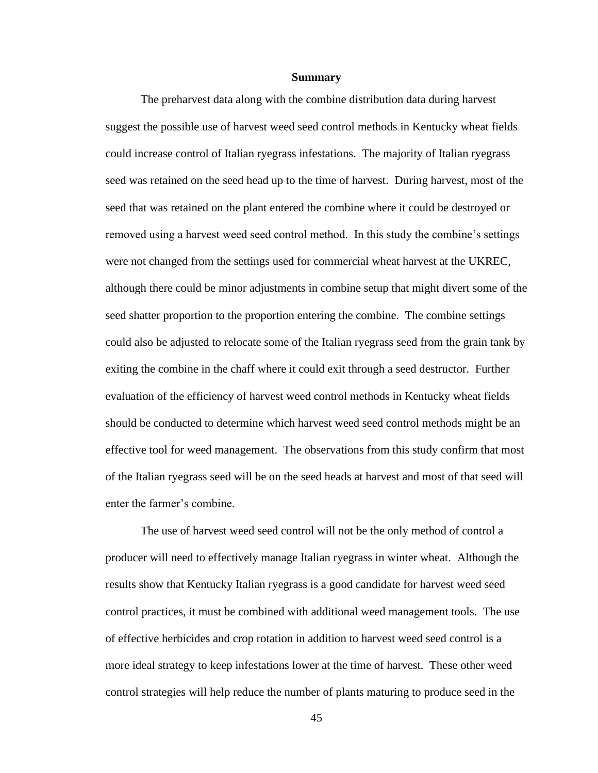#### **Summary**

The preharvest data along with the combine distribution data during harvest suggest the possible use of harvest weed seed control methods in Kentucky wheat fields could increase control of Italian ryegrass infestations. The majority of Italian ryegrass seed was retained on the seed head up to the time of harvest. During harvest, most of the seed that was retained on the plant entered the combine where it could be destroyed or removed using a harvest weed seed control method. In this study the combine's settings were not changed from the settings used for commercial wheat harvest at the UKREC, although there could be minor adjustments in combine setup that might divert some of the seed shatter proportion to the proportion entering the combine. The combine settings could also be adjusted to relocate some of the Italian ryegrass seed from the grain tank by exiting the combine in the chaff where it could exit through a seed destructor. Further evaluation of the efficiency of harvest weed control methods in Kentucky wheat fields should be conducted to determine which harvest weed seed control methods might be an effective tool for weed management. The observations from this study confirm that most of the Italian ryegrass seed will be on the seed heads at harvest and most of that seed will enter the farmer's combine.

The use of harvest weed seed control will not be the only method of control a producer will need to effectively manage Italian ryegrass in winter wheat. Although the results show that Kentucky Italian ryegrass is a good candidate for harvest weed seed control practices, it must be combined with additional weed management tools. The use of effective herbicides and crop rotation in addition to harvest weed seed control is a more ideal strategy to keep infestations lower at the time of harvest. These other weed control strategies will help reduce the number of plants maturing to produce seed in the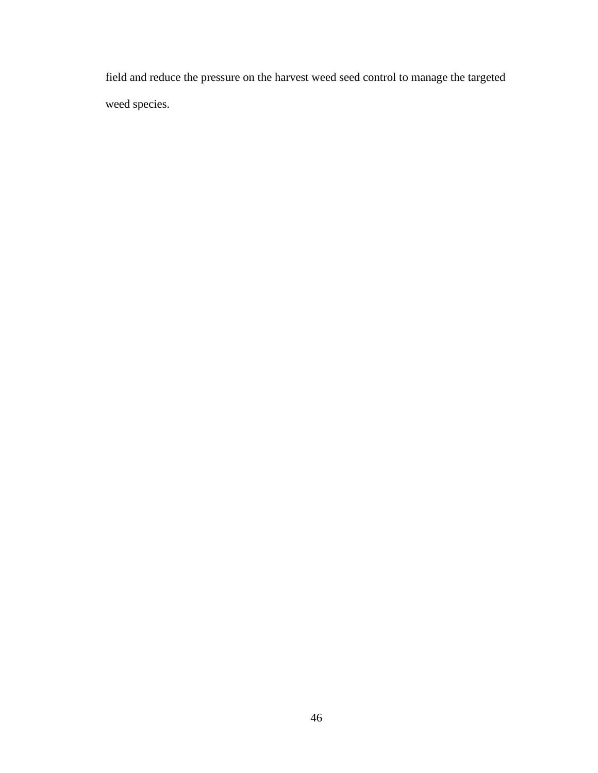field and reduce the pressure on the harvest weed seed control to manage the targeted weed species.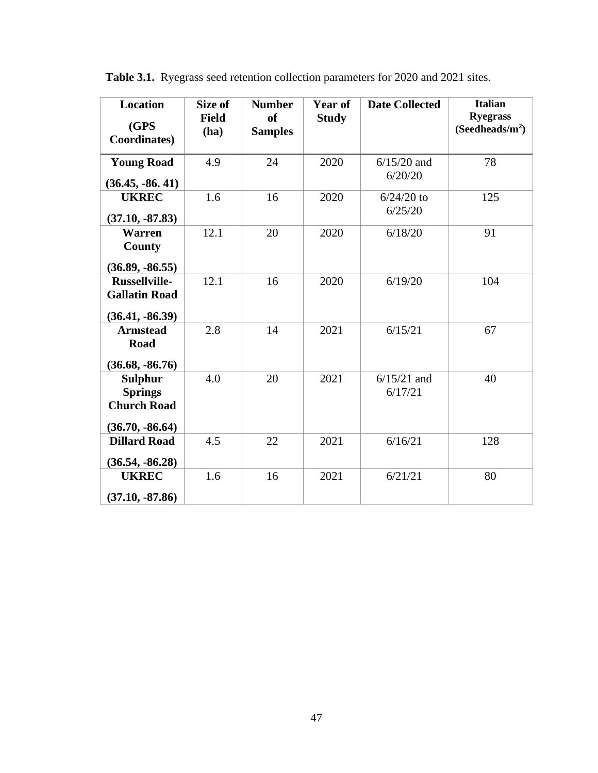| Location<br>(GPS<br><b>Coordinates</b> )                                    | Size of<br><b>Field</b><br>(ha) | <b>Number</b><br><b>of</b><br><b>Samples</b> | Year of<br><b>Study</b> | <b>Date Collected</b>    | <b>Italian</b><br><b>Ryegrass</b><br>(Seedheads/m <sup>2</sup> ) |
|-----------------------------------------------------------------------------|---------------------------------|----------------------------------------------|-------------------------|--------------------------|------------------------------------------------------------------|
| <b>Young Road</b><br>$(36.45, -86.41)$                                      | 4.9                             | 24                                           | 2020                    | $6/15/20$ and<br>6/20/20 | 78                                                               |
| <b>UKREC</b><br>$(37.10, -87.83)$                                           | 1.6                             | 16                                           | 2020                    | $6/24/20$ to<br>6/25/20  | 125                                                              |
| <b>Warren</b><br>County<br>$(36.89, -86.55)$                                | 12.1                            | 20                                           | 2020                    | 6/18/20                  | 91                                                               |
| <b>Russellville-</b><br><b>Gallatin Road</b><br>$(36.41, -86.39)$           | 12.1                            | 16                                           | 2020                    | 6/19/20                  | 104                                                              |
| <b>Armstead</b><br><b>Road</b><br>$(36.68, -86.76)$                         | 2.8                             | 14                                           | 2021                    | 6/15/21                  | 67                                                               |
| <b>Sulphur</b><br><b>Springs</b><br><b>Church Road</b><br>$(36.70, -86.64)$ | 4.0                             | 20                                           | 2021                    | $6/15/21$ and<br>6/17/21 | 40                                                               |
| <b>Dillard Road</b><br>$(36.54, -86.28)$                                    | 4.5                             | 22                                           | 2021                    | 6/16/21                  | 128                                                              |
| <b>UKREC</b><br>$(37.10, -87.86)$                                           | 1.6                             | 16                                           | 2021                    | 6/21/21                  | 80                                                               |

**Table 3.1.** Ryegrass seed retention collection parameters for 2020 and 2021 sites.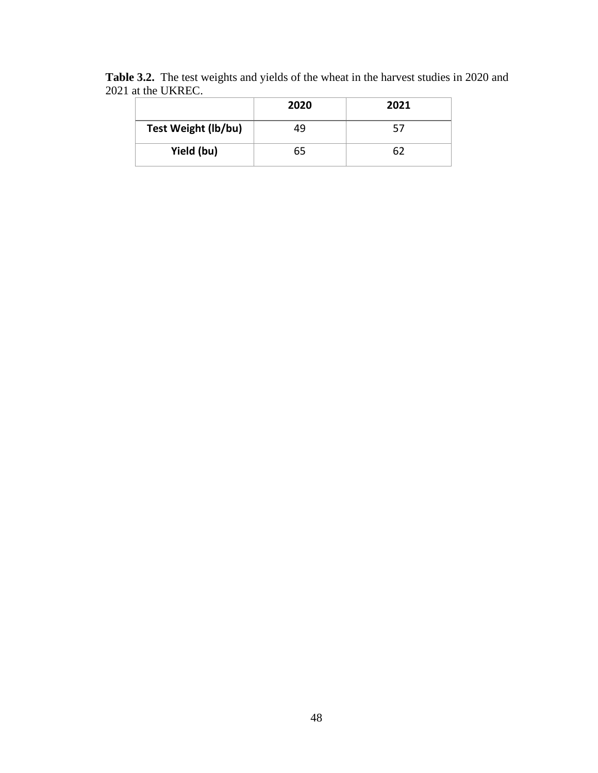|                            | 2020 | 2021 |
|----------------------------|------|------|
| <b>Test Weight (lb/bu)</b> | 49   | 57   |
| Yield (bu)                 | 65   | 62   |

**Table 3.2.** The test weights and yields of the wheat in the harvest studies in 2020 and 2021 at the UKREC.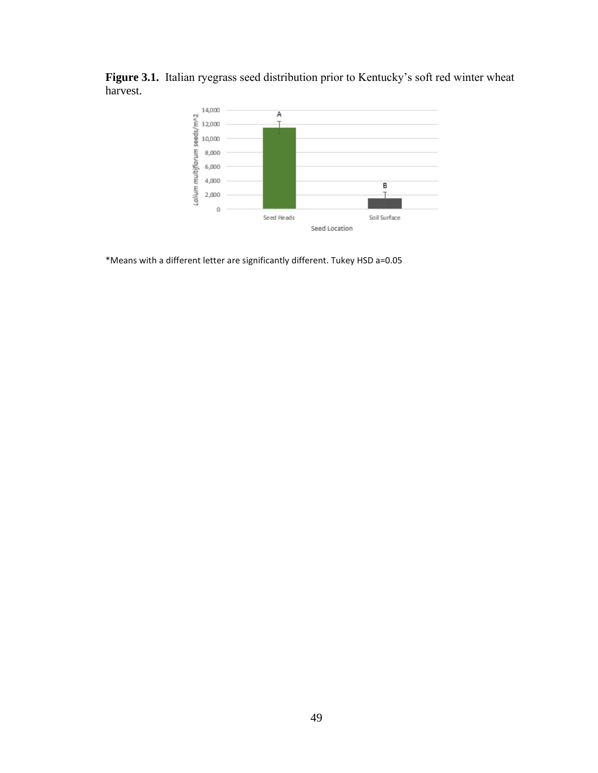

**Figure 3.1.** Italian ryegrass seed distribution prior to Kentucky's soft red winter wheat harvest.

\*Means with a different letter are significantly different. Tukey HSD a=0.05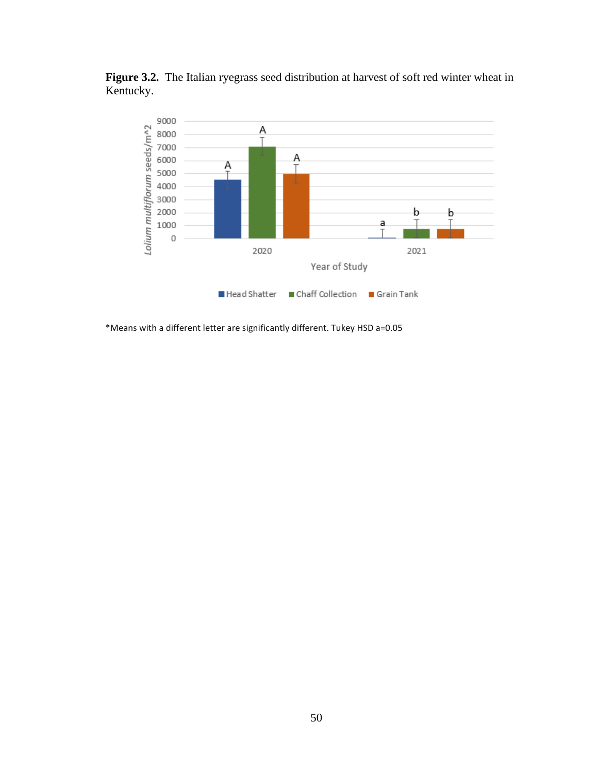



\*Means with a different letter are significantly different. Tukey HSD a=0.05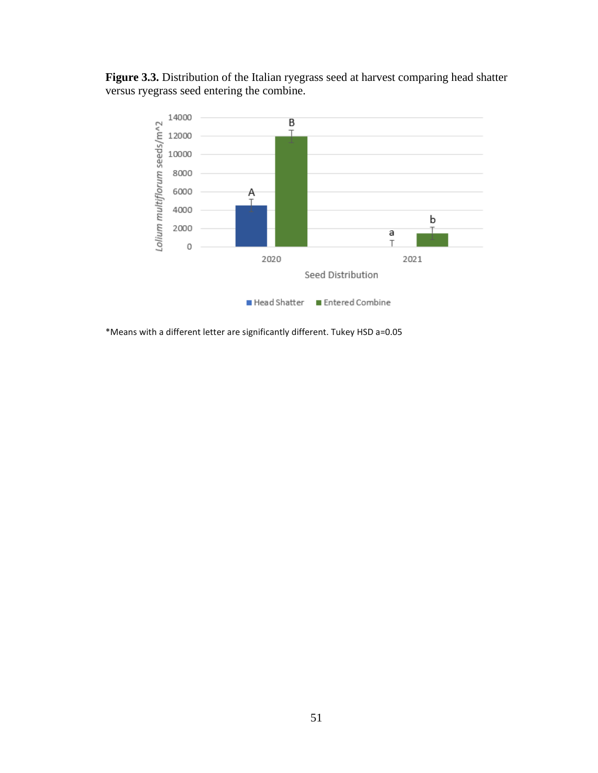**Figure 3.3.** Distribution of the Italian ryegrass seed at harvest comparing head shatter versus ryegrass seed entering the combine.



\*Means with a different letter are significantly different. Tukey HSD a=0.05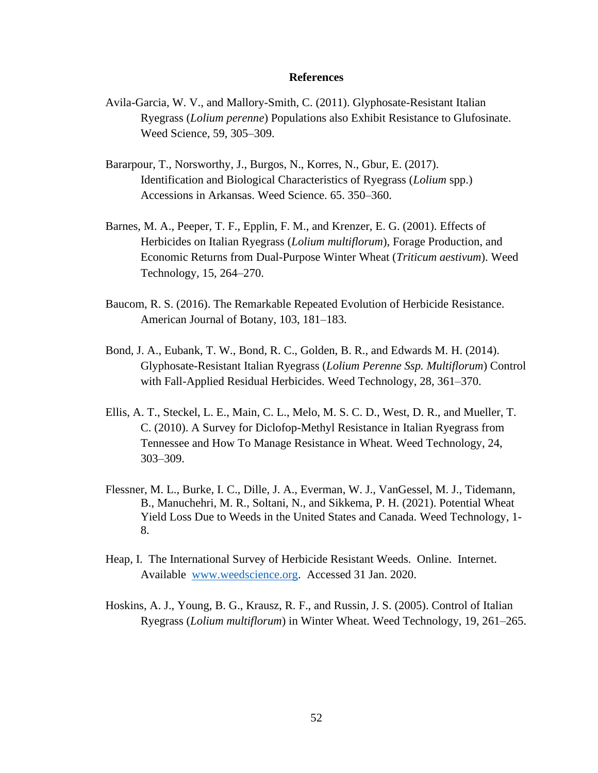#### **References**

- Avila-Garcia, W. V., and Mallory-Smith, C. (2011). Glyphosate-Resistant Italian Ryegrass (*Lolium perenne*) Populations also Exhibit Resistance to Glufosinate. Weed Science, 59, 305–309.
- Bararpour, T., Norsworthy, J., Burgos, N., Korres, N., Gbur, E. (2017). Identification and Biological Characteristics of Ryegrass (*Lolium* spp.) Accessions in Arkansas. Weed Science. 65. 350–360.
- Barnes, M. A., Peeper, T. F., Epplin, F. M., and Krenzer, E. G. (2001). Effects of Herbicides on Italian Ryegrass (*Lolium multiflorum*), Forage Production, and Economic Returns from Dual-Purpose Winter Wheat (*Triticum aestivum*). Weed Technology, 15, 264–270.
- Baucom, R. S. (2016). The Remarkable Repeated Evolution of Herbicide Resistance. American Journal of Botany, 103, 181–183.
- Bond, J. A., Eubank, T. W., Bond, R. C., Golden, B. R., and Edwards M. H. (2014). Glyphosate-Resistant Italian Ryegrass (*Lolium Perenne Ssp. Multiflorum*) Control with Fall-Applied Residual Herbicides. Weed Technology, 28, 361–370.
- Ellis, A. T., Steckel, L. E., Main, C. L., Melo, M. S. C. D., West, D. R., and Mueller, T. C. (2010). A Survey for Diclofop-Methyl Resistance in Italian Ryegrass from Tennessee and How To Manage Resistance in Wheat. Weed Technology, 24, 303–309.
- Flessner, M. L., Burke, I. C., Dille, J. A., Everman, W. J., VanGessel, M. J., Tidemann, B., Manuchehri, M. R., Soltani, N., and Sikkema, P. H. (2021). Potential Wheat Yield Loss Due to Weeds in the United States and Canada. Weed Technology, 1- 8.
- Heap, I. The International Survey of Herbicide Resistant Weeds. Online. Internet. Available [www.weedscience.org.](http://www.weedscience.org/) Accessed 31 Jan. 2020.
- Hoskins, A. J., Young, B. G., Krausz, R. F., and Russin, J. S. (2005). Control of Italian Ryegrass (*Lolium multiflorum*) in Winter Wheat. Weed Technology, 19, 261–265.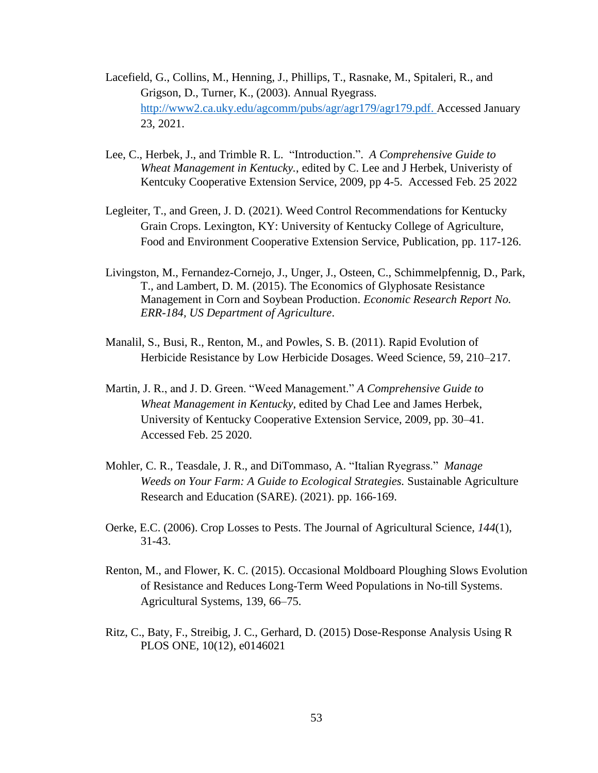- Lacefield, G., Collins, M., Henning, J., Phillips, T., Rasnake, M., Spitaleri, R., and Grigson, D., Turner, K., (2003). Annual Ryegrass. [http://www2.ca.uky.edu/agcomm/pubs/agr/agr179/agr179.pdf.](http://www2.ca.uky.edu/agcomm/pubs/agr/agr179/agr179.pdf) Accessed January 23, 2021.
- Lee, C., Herbek, J., and Trimble R. L. "Introduction.". *A Comprehensive Guide to Wheat Management in Kentucky.*, edited by C. Lee and J Herbek, Univeristy of Kentcuky Cooperative Extension Service, 2009, pp 4-5. Accessed Feb. 25 2022
- Legleiter, T., and Green, J. D. (2021). Weed Control Recommendations for Kentucky Grain Crops. Lexington, KY: University of Kentucky College of Agriculture, Food and Environment Cooperative Extension Service, Publication, pp. 117-126.
- Livingston, M., Fernandez-Cornejo, J., Unger, J., Osteen, C., Schimmelpfennig, D., Park, T., and Lambert, D. M. (2015). The Economics of Glyphosate Resistance Management in Corn and Soybean Production. *Economic Research Report No. ERR-184, US Department of Agriculture*.
- Manalil, S., Busi, R., Renton, M., and Powles, S. B. (2011). Rapid Evolution of Herbicide Resistance by Low Herbicide Dosages. Weed Science, 59, 210–217.
- Martin, J. R., and J. D. Green. "Weed Management." *A Comprehensive Guide to Wheat Management in Kentucky*, edited by Chad Lee and James Herbek, University of Kentucky Cooperative Extension Service, 2009, pp. 30–41. Accessed Feb. 25 2020.
- Mohler, C. R., Teasdale, J. R., and DiTommaso, A. "Italian Ryegrass." *Manage Weeds on Your Farm: A Guide to Ecological Strategies.* Sustainable Agriculture Research and Education (SARE). (2021). pp. 166-169.
- Oerke, E.C. (2006). Crop Losses to Pests. The Journal of Agricultural Science*, 144*(1), 31-43.
- Renton, M., and Flower, K. C. (2015). Occasional Moldboard Ploughing Slows Evolution of Resistance and Reduces Long-Term Weed Populations in No-till Systems. Agricultural Systems, 139, 66–75.
- Ritz, C., Baty, F., Streibig, J. C., Gerhard, D. (2015) Dose-Response Analysis Using R PLOS ONE, 10(12), e0146021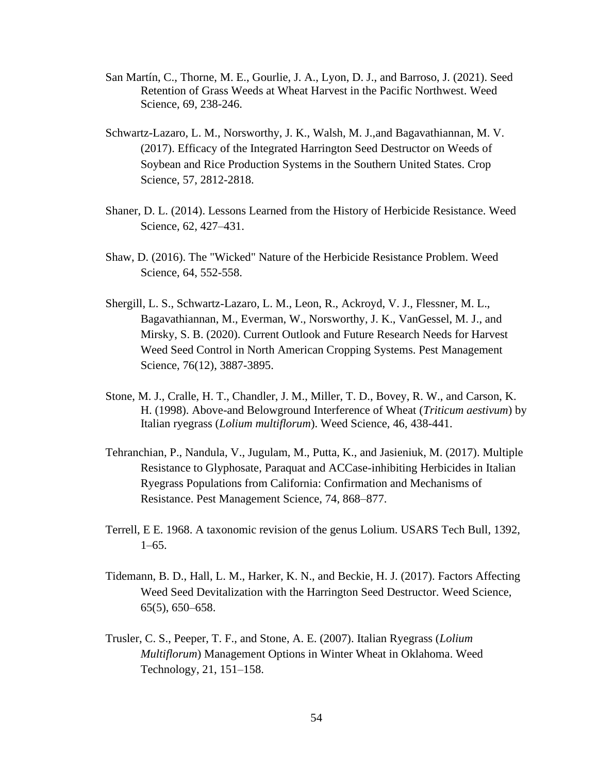- San Martín, C., Thorne, M. E., Gourlie, J. A., Lyon, D. J., and Barroso, J. (2021). Seed Retention of Grass Weeds at Wheat Harvest in the Pacific Northwest. Weed Science, 69, 238-246.
- Schwartz-Lazaro, L. M., Norsworthy, J. K., Walsh, M. J.,and Bagavathiannan, M. V. (2017). Efficacy of the Integrated Harrington Seed Destructor on Weeds of Soybean and Rice Production Systems in the Southern United States. Crop Science, 57, 2812-2818.
- Shaner, D. L. (2014). Lessons Learned from the History of Herbicide Resistance. Weed Science, 62, 427–431.
- Shaw, D. (2016). The "Wicked" Nature of the Herbicide Resistance Problem. Weed Science, 64, 552-558.
- Shergill, L. S., Schwartz‐Lazaro, L. M., Leon, R., Ackroyd, V. J., Flessner, M. L., Bagavathiannan, M., Everman, W., Norsworthy, J. K., VanGessel, M. J., and Mirsky, S. B. (2020). Current Outlook and Future Research Needs for Harvest Weed Seed Control in North American Cropping Systems. Pest Management Science, 76(12), 3887-3895.
- Stone, M. J., Cralle, H. T., Chandler, J. M., Miller, T. D., Bovey, R. W., and Carson, K. H. (1998). Above-and Belowground Interference of Wheat (*Triticum aestivum*) by Italian ryegrass (*Lolium multiflorum*). Weed Science, 46, 438-441.
- Tehranchian, P., Nandula, V., Jugulam, M., Putta, K., and Jasieniuk, M. (2017). Multiple Resistance to Glyphosate, Paraquat and ACCase-inhibiting Herbicides in Italian Ryegrass Populations from California: Confirmation and Mechanisms of Resistance. Pest Management Science, 74, 868–877.
- Terrell, E E. 1968. A taxonomic revision of the genus Lolium. USARS Tech Bull, 1392,  $1-65.$
- Tidemann, B. D., Hall, L. M., Harker, K. N., and Beckie, H. J. (2017). Factors Affecting Weed Seed Devitalization with the Harrington Seed Destructor. Weed Science, 65(5), 650–658.
- Trusler, C. S., Peeper, T. F., and Stone, A. E. (2007). Italian Ryegrass (*Lolium Multiflorum*) Management Options in Winter Wheat in Oklahoma. Weed Technology, 21, 151–158.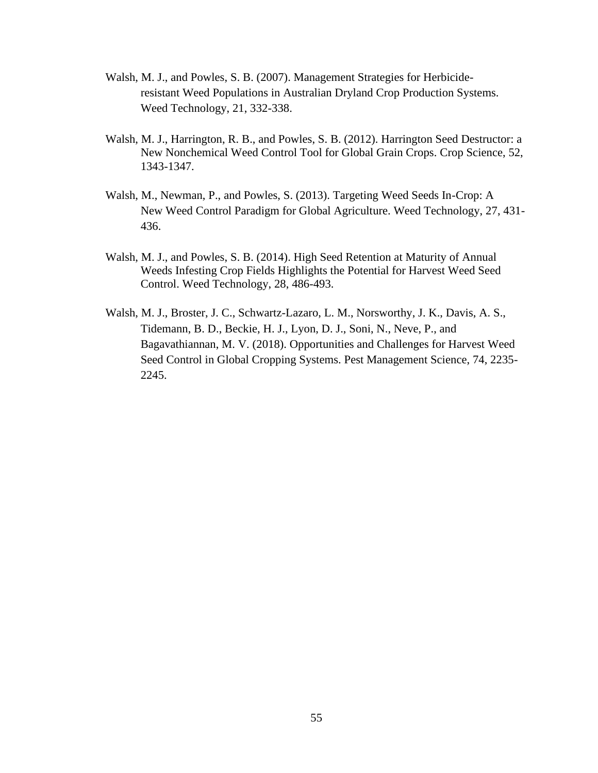- Walsh, M. J., and Powles, S. B. (2007). Management Strategies for Herbicideresistant Weed Populations in Australian Dryland Crop Production Systems. Weed Technology, 21, 332-338.
- Walsh, M. J., Harrington, R. B., and Powles, S. B. (2012). Harrington Seed Destructor: a New Nonchemical Weed Control Tool for Global Grain Crops. Crop Science, 52, 1343-1347.
- Walsh, M., Newman, P., and Powles, S. (2013). Targeting Weed Seeds In-Crop: A New Weed Control Paradigm for Global Agriculture. Weed Technology, 27, 431- 436.
- Walsh, M. J., and Powles, S. B. (2014). High Seed Retention at Maturity of Annual Weeds Infesting Crop Fields Highlights the Potential for Harvest Weed Seed Control. Weed Technology, 28, 486-493.
- Walsh, M. J., Broster, J. C., Schwartz-Lazaro, L. M., Norsworthy, J. K., Davis, A. S., Tidemann, B. D., Beckie, H. J., Lyon, D. J., Soni, N., Neve, P., and Bagavathiannan, M. V. (2018). Opportunities and Challenges for Harvest Weed Seed Control in Global Cropping Systems. Pest Management Science, 74, 2235- 2245.